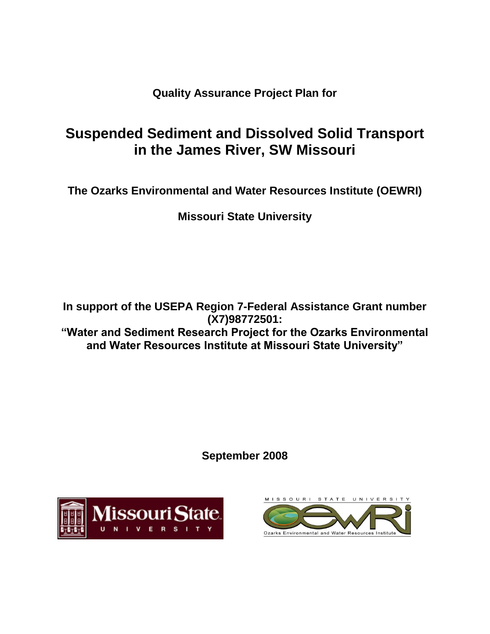**Quality Assurance Project Plan for**

# **Suspended Sediment and Dissolved Solid Transport in the James River, SW Missouri**

**The Ozarks Environmental and Water Resources Institute (OEWRI)**

**Missouri State University**

**In support of the USEPA Region 7-Federal Assistance Grant number (X7)98772501: "Water and Sediment Research Project for the Ozarks Environmental and Water Resources Institute at Missouri State University"**

**September 2008**



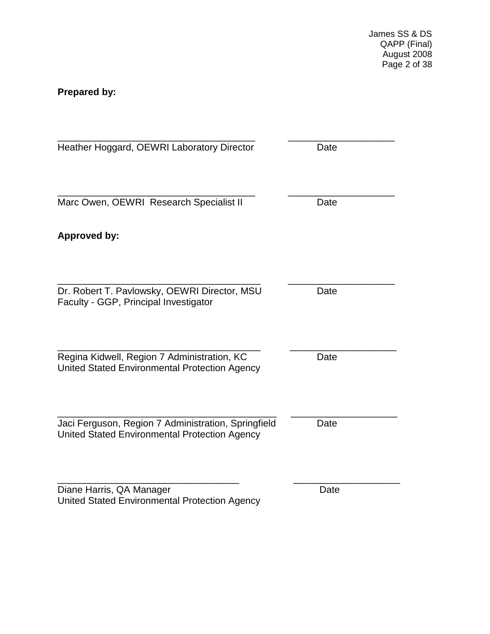James SS & DS QAPP (Final) August 2008 Page 2 of 38

# <span id="page-1-0"></span>**Prepared by:**

<span id="page-1-1"></span>

| Heather Hoggard, OEWRI Laboratory Director                                                                  | Date |
|-------------------------------------------------------------------------------------------------------------|------|
| Marc Owen, OEWRI Research Specialist II                                                                     | Date |
| <b>Approved by:</b>                                                                                         |      |
| Dr. Robert T. Pavlowsky, OEWRI Director, MSU<br>Faculty - GGP, Principal Investigator                       | Date |
| Regina Kidwell, Region 7 Administration, KC<br>United Stated Environmental Protection Agency                | Date |
| Jaci Ferguson, Region 7 Administration, Springfield<br><b>United Stated Environmental Protection Agency</b> | Date |
| Diane Harris, QA Manager<br>United Stated Environmental Protection Agency                                   | Date |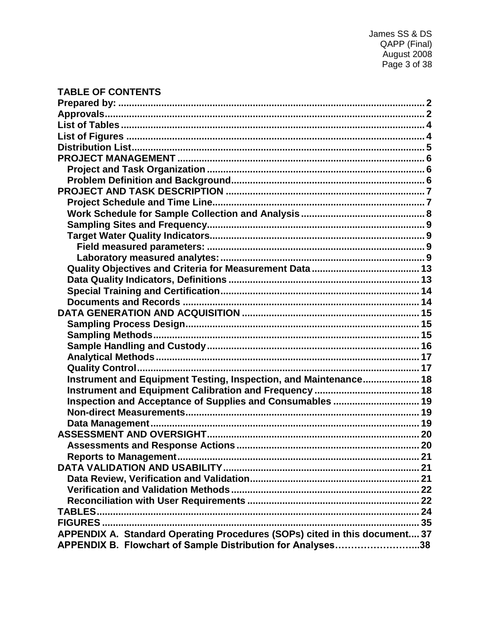# **TABLE OF CONTENTS**

| Instrument and Equipment Testing, Inspection, and Maintenance 18           |  |
|----------------------------------------------------------------------------|--|
|                                                                            |  |
| Inspection and Acceptance of Supplies and Consumables  19                  |  |
|                                                                            |  |
|                                                                            |  |
|                                                                            |  |
|                                                                            |  |
|                                                                            |  |
|                                                                            |  |
|                                                                            |  |
|                                                                            |  |
|                                                                            |  |
|                                                                            |  |
|                                                                            |  |
| APPENDIX A. Standard Operating Procedures (SOPs) cited in this document 37 |  |
| APPENDIX B. Flowchart of Sample Distribution for Analyses38                |  |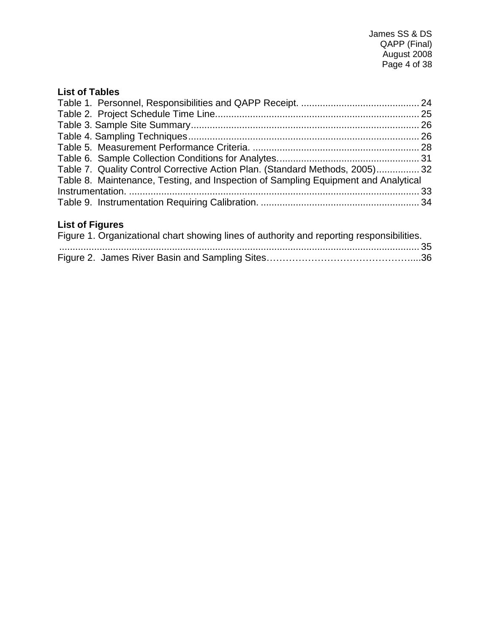# <span id="page-3-0"></span>**List of Tables**

| Table 7. Quality Control Corrective Action Plan. (Standard Methods, 2005) 32       |  |
|------------------------------------------------------------------------------------|--|
| Table 8. Maintenance, Testing, and Inspection of Sampling Equipment and Analytical |  |
|                                                                                    |  |
|                                                                                    |  |

# <span id="page-3-1"></span>**List of Figures**

| Figure 1. Organizational chart showing lines of authority and reporting responsibilities. |  |
|-------------------------------------------------------------------------------------------|--|
|                                                                                           |  |
|                                                                                           |  |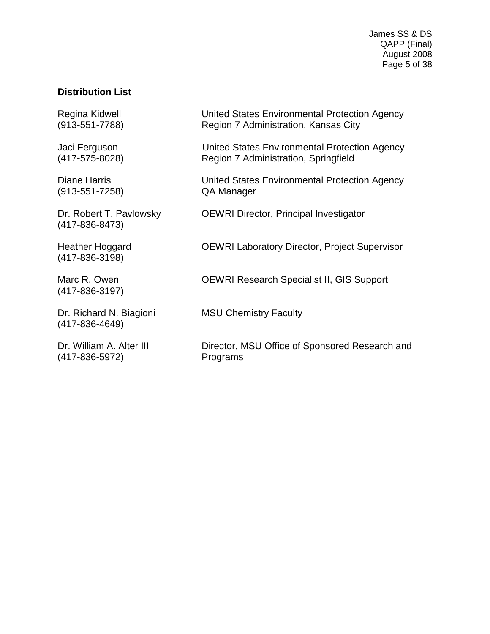James SS & DS QAPP (Final) August 2008 Page 5 of 38

### <span id="page-4-0"></span>**Distribution List**

(913-551-7258) QA Manager

(417-836-8473)

(417-836-3198)

(417-836-3197)

(417-836-4649)

(417-836-5972) Programs

Regina Kidwell **Netwitted States Environmental Protection Agency** (913-551-7788) Region 7 Administration, Kansas City

Jaci Ferguson United States Environmental Protection Agency (417-575-8028) Region 7 Administration, Springfield

Diane Harris United States Environmental Protection Agency

Dr. Robert T. Pavlowsky **OEWRI Director, Principal Investigator** 

Heather Hoggard OEWRI Laboratory Director, Project Supervisor

Marc R. Owen **OEWRI Research Specialist II, GIS Support** 

Dr. Richard N. Biagioni MSU Chemistry Faculty

Dr. William A. Alter III Director, MSU Office of Sponsored Research and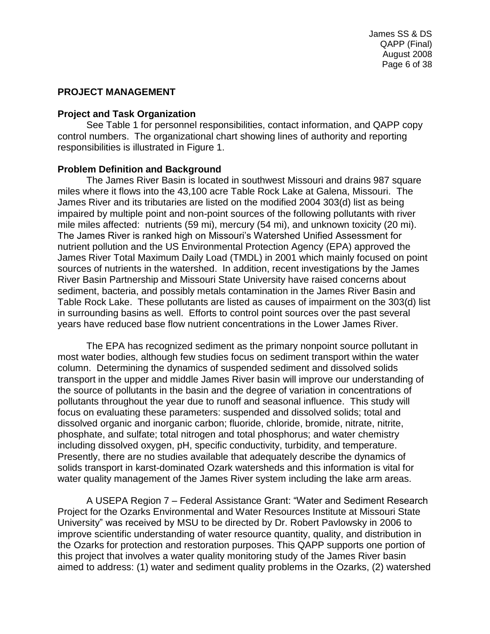### <span id="page-5-0"></span>**PROJECT MANAGEMENT**

#### <span id="page-5-1"></span>**Project and Task Organization**

See Table 1 for personnel responsibilities, contact information, and QAPP copy control numbers. The organizational chart showing lines of authority and reporting responsibilities is illustrated in Figure 1.

#### <span id="page-5-2"></span>**Problem Definition and Background**

The James River Basin is located in southwest Missouri and drains 987 square miles where it flows into the 43,100 acre Table Rock Lake at Galena, Missouri. The James River and its tributaries are listed on the modified 2004 303(d) list as being impaired by multiple point and non-point sources of the following pollutants with river mile miles affected: nutrients (59 mi), mercury (54 mi), and unknown toxicity (20 mi). The James River is ranked high on Missouri's Watershed Unified Assessment for nutrient pollution and the US Environmental Protection Agency (EPA) approved the James River Total Maximum Daily Load (TMDL) in 2001 which mainly focused on point sources of nutrients in the watershed. In addition, recent investigations by the James River Basin Partnership and Missouri State University have raised concerns about sediment, bacteria, and possibly metals contamination in the James River Basin and Table Rock Lake. These pollutants are listed as causes of impairment on the 303(d) list in surrounding basins as well. Efforts to control point sources over the past several years have reduced base flow nutrient concentrations in the Lower James River.

The EPA has recognized sediment as the primary nonpoint source pollutant in most water bodies, although few studies focus on sediment transport within the water column. Determining the dynamics of suspended sediment and dissolved solids transport in the upper and middle James River basin will improve our understanding of the source of pollutants in the basin and the degree of variation in concentrations of pollutants throughout the year due to runoff and seasonal influence. This study will focus on evaluating these parameters: suspended and dissolved solids; total and dissolved organic and inorganic carbon; fluoride, chloride, bromide, nitrate, nitrite, phosphate, and sulfate; total nitrogen and total phosphorus; and water chemistry including dissolved oxygen, pH, specific conductivity, turbidity, and temperature. Presently, there are no studies available that adequately describe the dynamics of solids transport in karst-dominated Ozark watersheds and this information is vital for water quality management of the James River system including the lake arm areas.

A USEPA Region 7 – Federal Assistance Grant: "Water and Sediment Research Project for the Ozarks Environmental and Water Resources Institute at Missouri State University" was received by MSU to be directed by Dr. Robert Pavlowsky in 2006 to improve scientific understanding of water resource quantity, quality, and distribution in the Ozarks for protection and restoration purposes. This QAPP supports one portion of this project that involves a water quality monitoring study of the James River basin aimed to address: (1) water and sediment quality problems in the Ozarks, (2) watershed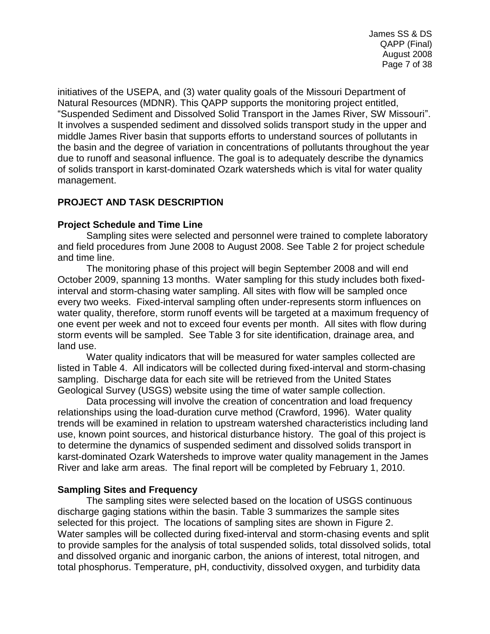initiatives of the USEPA, and (3) water quality goals of the Missouri Department of Natural Resources (MDNR). This QAPP supports the monitoring project entitled, "Suspended Sediment and Dissolved Solid Transport in the James River, SW Missouri". It involves a suspended sediment and dissolved solids transport study in the upper and middle James River basin that supports efforts to understand sources of pollutants in the basin and the degree of variation in concentrations of pollutants throughout the year due to runoff and seasonal influence. The goal is to adequately describe the dynamics of solids transport in karst-dominated Ozark watersheds which is vital for water quality management.

# <span id="page-6-0"></span>**PROJECT AND TASK DESCRIPTION**

# <span id="page-6-1"></span>**Project Schedule and Time Line**

Sampling sites were selected and personnel were trained to complete laboratory and field procedures from June 2008 to August 2008. See Table 2 for project schedule and time line.

The monitoring phase of this project will begin September 2008 and will end October 2009, spanning 13 months. Water sampling for this study includes both fixedinterval and storm-chasing water sampling. All sites with flow will be sampled once every two weeks. Fixed-interval sampling often under-represents storm influences on water quality, therefore, storm runoff events will be targeted at a maximum frequency of one event per week and not to exceed four events per month. All sites with flow during storm events will be sampled. See Table 3 for site identification, drainage area, and land use.

Water quality indicators that will be measured for water samples collected are listed in Table 4. All indicators will be collected during fixed-interval and storm-chasing sampling. Discharge data for each site will be retrieved from the United States Geological Survey (USGS) website using the time of water sample collection.

Data processing will involve the creation of concentration and load frequency relationships using the load-duration curve method (Crawford, 1996). Water quality trends will be examined in relation to upstream watershed characteristics including land use, known point sources, and historical disturbance history. The goal of this project is to determine the dynamics of suspended sediment and dissolved solids transport in karst-dominated Ozark Watersheds to improve water quality management in the James River and lake arm areas. The final report will be completed by February 1, 2010.

#### **Sampling Sites and Frequency**

The sampling sites were selected based on the location of USGS continuous discharge gaging stations within the basin. Table 3 summarizes the sample sites selected for this project. The locations of sampling sites are shown in Figure 2. Water samples will be collected during fixed-interval and storm-chasing events and split to provide samples for the analysis of total suspended solids, total dissolved solids, total and dissolved organic and inorganic carbon, the anions of interest, total nitrogen, and total phosphorus. Temperature, pH, conductivity, dissolved oxygen, and turbidity data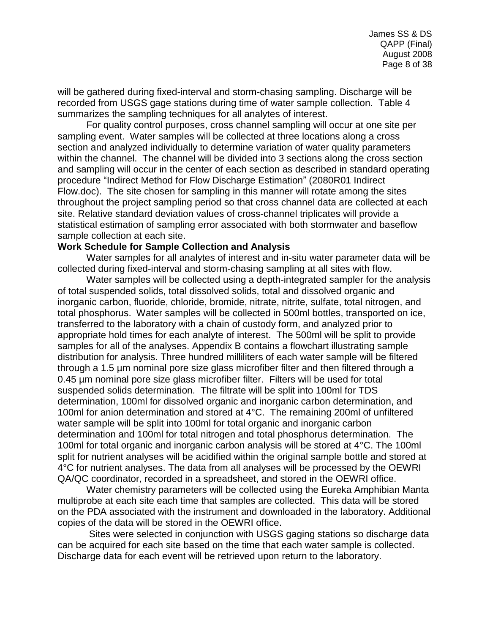will be gathered during fixed-interval and storm-chasing sampling. Discharge will be recorded from USGS gage stations during time of water sample collection. Table 4 summarizes the sampling techniques for all analytes of interest.

For quality control purposes, cross channel sampling will occur at one site per sampling event. Water samples will be collected at three locations along a cross section and analyzed individually to determine variation of water quality parameters within the channel. The channel will be divided into 3 sections along the cross section and sampling will occur in the center of each section as described in standard operating procedure "Indirect Method for Flow Discharge Estimation" (2080R01 Indirect Flow.doc). The site chosen for sampling in this manner will rotate among the sites throughout the project sampling period so that cross channel data are collected at each site. Relative standard deviation values of cross-channel triplicates will provide a statistical estimation of sampling error associated with both stormwater and baseflow sample collection at each site.

#### <span id="page-7-0"></span>**Work Schedule for Sample Collection and Analysis**

Water samples for all analytes of interest and in-situ water parameter data will be collected during fixed-interval and storm-chasing sampling at all sites with flow.

Water samples will be collected using a depth-integrated sampler for the analysis of total suspended solids, total dissolved solids, total and dissolved organic and inorganic carbon, fluoride, chloride, bromide, nitrate, nitrite, sulfate, total nitrogen, and total phosphorus. Water samples will be collected in 500ml bottles, transported on ice, transferred to the laboratory with a chain of custody form, and analyzed prior to appropriate hold times for each analyte of interest. The 500ml will be split to provide samples for all of the analyses. Appendix B contains a flowchart illustrating sample distribution for analysis. Three hundred milliliters of each water sample will be filtered through a 1.5 µm nominal pore size glass microfiber filter and then filtered through a 0.45 µm nominal pore size glass microfiber filter. Filters will be used for total suspended solids determination. The filtrate will be split into 100ml for TDS determination, 100ml for dissolved organic and inorganic carbon determination, and 100ml for anion determination and stored at 4°C. The remaining 200ml of unfiltered water sample will be split into 100ml for total organic and inorganic carbon determination and 100ml for total nitrogen and total phosphorus determination. The 100ml for total organic and inorganic carbon analysis will be stored at 4°C. The 100ml split for nutrient analyses will be acidified within the original sample bottle and stored at 4°C for nutrient analyses. The data from all analyses will be processed by the OEWRI QA/QC coordinator, recorded in a spreadsheet, and stored in the OEWRI office.

Water chemistry parameters will be collected using the Eureka Amphibian Manta multiprobe at each site each time that samples are collected. This data will be stored on the PDA associated with the instrument and downloaded in the laboratory. Additional copies of the data will be stored in the OEWRI office.

Sites were selected in conjunction with USGS gaging stations so discharge data can be acquired for each site based on the time that each water sample is collected. Discharge data for each event will be retrieved upon return to the laboratory.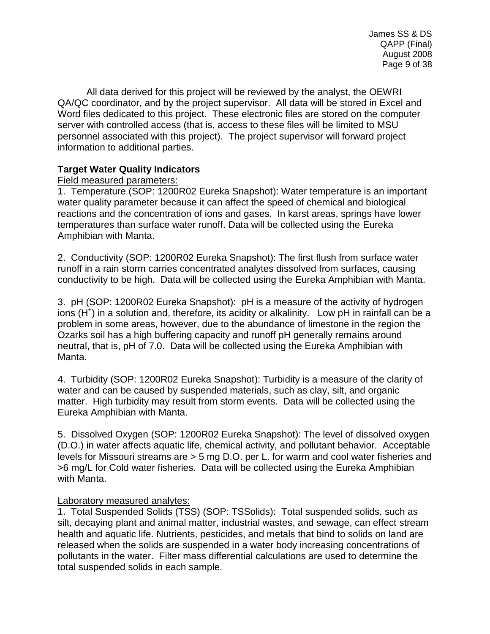All data derived for this project will be reviewed by the analyst, the OEWRI QA/QC coordinator, and by the project supervisor. All data will be stored in Excel and Word files dedicated to this project. These electronic files are stored on the computer server with controlled access (that is, access to these files will be limited to MSU personnel associated with this project). The project supervisor will forward project information to additional parties.

# <span id="page-8-1"></span><span id="page-8-0"></span>**Target Water Quality Indicators**

# <span id="page-8-2"></span>Field measured parameters:

1. Temperature (SOP: 1200R02 Eureka Snapshot): Water temperature is an important water quality parameter because it can affect the speed of chemical and biological reactions and the concentration of ions and gases. In karst areas, springs have lower temperatures than surface water runoff. Data will be collected using the Eureka Amphibian with Manta.

2. Conductivity (SOP: 1200R02 Eureka Snapshot): The first flush from surface water runoff in a rain storm carries concentrated analytes dissolved from surfaces, causing conductivity to be high. Data will be collected using the Eureka Amphibian with Manta.

3. pH (SOP: 1200R02 Eureka Snapshot): pH is a measure of the [activity](http://en.wikipedia.org/wiki/Activity_%28chemistry%29) of [hydrogen](http://en.wikipedia.org/wiki/Hydrogen) [ions](http://en.wikipedia.org/wiki/Ion) [\(H](http://en.wikipedia.org/wiki/Hydronium)<sup>+</sup>) in a [solution](http://en.wikipedia.org/wiki/Solution) and, therefore, its [acidity](http://en.wikipedia.org/wiki/Acid) or [alkalinity.](http://en.wikipedia.org/wiki/Base_%28chemistry%29) Low pH in rainfall can be a problem in some areas, however, due to the abundance of limestone in the region the Ozarks soil has a high buffering capacity and runoff pH generally remains around neutral, that is, pH of 7.0. Data will be collected using the Eureka Amphibian with Manta.

4. Turbidity (SOP: 1200R02 Eureka Snapshot): Turbidity is a measure of the clarity of water and can be caused by suspended materials, such as clay, silt, and organic matter. High turbidity may result from storm events. Data will be collected using the Eureka Amphibian with Manta.

5. Dissolved Oxygen (SOP: 1200R02 Eureka Snapshot): The level of dissolved oxygen (D.O.) in water affects aquatic life, chemical activity, and pollutant behavior. Acceptable levels for Missouri streams are > 5 mg D.O. per L. for warm and cool water fisheries and >6 mg/L for Cold water fisheries. Data will be collected using the Eureka Amphibian with Manta.

# <span id="page-8-3"></span>Laboratory measured analytes:

1. Total Suspended Solids (TSS) (SOP: TSSolids): Total suspended solids, such as silt, decaying plant and animal matter, industrial wastes, and sewage, can effect stream health and aquatic life. Nutrients, pesticides, and metals that bind to solids on land are released when the solids are suspended in a water body increasing concentrations of pollutants in the water. Filter mass differential calculations are used to determine the total suspended solids in each sample.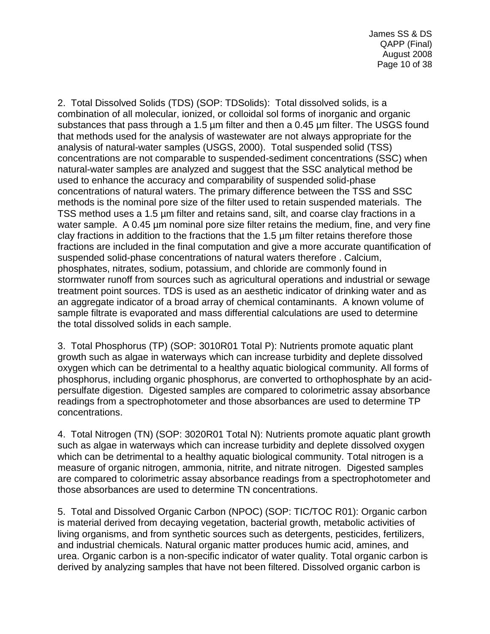2. Total Dissolved Solids (TDS) (SOP: TDSolids): Total dissolved solids, is a combination of all molecular, ionized, or colloidal sol forms of inorganic and organic substances that pass through a 1.5 µm filter and then a 0.45 µm filter. The USGS found that methods used for the analysis of wastewater are not always appropriate for the analysis of natural-water samples (USGS, 2000). Total suspended solid (TSS) concentrations are not comparable to suspended-sediment concentrations (SSC) when natural-water samples are analyzed and suggest that the SSC analytical method be used to enhance the accuracy and comparability of suspended solid-phase concentrations of natural waters. The primary difference between the TSS and SSC methods is the nominal pore size of the filter used to retain suspended materials. The TSS method uses a 1.5 µm filter and retains sand, silt, and coarse clay fractions in a water sample. A 0.45 µm nominal pore size filter retains the medium, fine, and very fine clay fractions in addition to the fractions that the 1.5 µm filter retains therefore those fractions are included in the final computation and give a more accurate quantification of suspended solid-phase concentrations of natural waters therefore . Calcium, phosphates, nitrates, sodium, potassium, and chloride are commonly found in stormwater runoff from sources such as agricultural operations and industrial or sewage treatment point sources. TDS is used as an aesthetic indicator of drinking water and as an aggregate indicator of a broad array of chemical contaminants. A known volume of sample filtrate is evaporated and mass differential calculations are used to determine the total dissolved solids in each sample.

3. Total Phosphorus (TP) (SOP: 3010R01 Total P): Nutrients promote aquatic plant growth such as algae in waterways which can increase turbidity and deplete dissolved oxygen which can be detrimental to a healthy aquatic biological community. All forms of phosphorus, including organic phosphorus, are converted to orthophosphate by an acidpersulfate digestion. Digested samples are compared to colorimetric assay absorbance readings from a spectrophotometer and those absorbances are used to determine TP concentrations.

4. Total Nitrogen (TN) (SOP: 3020R01 Total N): Nutrients promote aquatic plant growth such as algae in waterways which can increase turbidity and deplete dissolved oxygen which can be detrimental to a healthy aquatic biological community. Total nitrogen is a measure of organic nitrogen, ammonia, nitrite, and nitrate nitrogen. Digested samples are compared to colorimetric assay absorbance readings from a spectrophotometer and those absorbances are used to determine TN concentrations.

5. Total and Dissolved Organic Carbon (NPOC) (SOP: TIC/TOC R01): Organic carbon is material derived from decaying vegetation, bacterial growth, metabolic activities of living organisms, and from synthetic sources such as detergents, pesticides, fertilizers, and industrial chemicals. Natural organic matter produces humic acid, amines, and urea. Organic carbon is a non-specific indicator of water quality. Total organic carbon is derived by analyzing samples that have not been filtered. Dissolved organic carbon is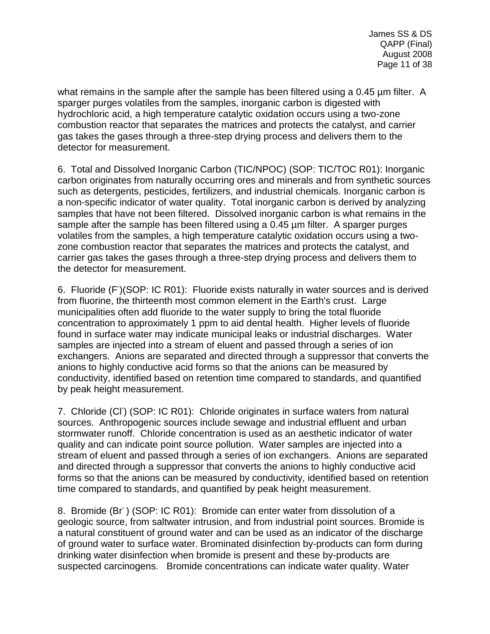what remains in the sample after the sample has been filtered using a 0.45 µm filter. A sparger purges volatiles from the samples, inorganic carbon is digested with hydrochloric acid, a high temperature catalytic oxidation occurs using a two-zone combustion reactor that separates the matrices and protects the catalyst, and carrier gas takes the gases through a three-step drying process and delivers them to the detector for measurement.

6. Total and Dissolved Inorganic Carbon (TIC/NPOC) (SOP: TIC/TOC R01): Inorganic carbon originates from naturally occurring ores and minerals and from synthetic sources such as detergents, pesticides, fertilizers, and industrial chemicals. Inorganic carbon is a non-specific indicator of water quality. Total inorganic carbon is derived by analyzing samples that have not been filtered. Dissolved inorganic carbon is what remains in the sample after the sample has been filtered using a 0.45  $\mu$ m filter. A sparger purges volatiles from the samples, a high temperature catalytic oxidation occurs using a twozone combustion reactor that separates the matrices and protects the catalyst, and carrier gas takes the gases through a three-step drying process and delivers them to the detector for measurement.

6. Fluoride (F)(SOP: IC R01): Fluoride exists naturally in water sources and is derived from fluorine, the thirteenth most common element in the Earth's crust. Large municipalities often add fluoride to the water supply to bring the total fluoride concentration to approximately 1 ppm to aid dental health. Higher levels of fluoride found in surface water may indicate municipal leaks or industrial discharges. Water samples are injected into a stream of eluent and passed through a series of ion exchangers. Anions are separated and directed through a suppressor that converts the anions to highly conductive acid forms so that the anions can be measured by conductivity, identified based on retention time compared to standards, and quantified by peak height measurement.

7. Chloride (CI) (SOP: IC R01): Chloride originates in surface waters from natural sources. Anthropogenic sources include sewage and industrial effluent and urban stormwater runoff. Chloride concentration is used as an aesthetic indicator of water quality and can indicate point source pollution. Water samples are injected into a stream of eluent and passed through a series of ion exchangers. Anions are separated and directed through a suppressor that converts the anions to highly conductive acid forms so that the anions can be measured by conductivity, identified based on retention time compared to standards, and quantified by peak height measurement.

8. Bromide (Br<sup>-</sup>) (SOP: IC R01): Bromide can enter water from dissolution of a geologic source, from saltwater intrusion, and from industrial point sources. Bromide is a natural constituent of ground water and can be used as an indicator of the discharge of ground water to surface water. Brominated disinfection by-products can form during drinking water disinfection when bromide is present and these by-products are suspected carcinogens. Bromide concentrations can indicate water quality. Water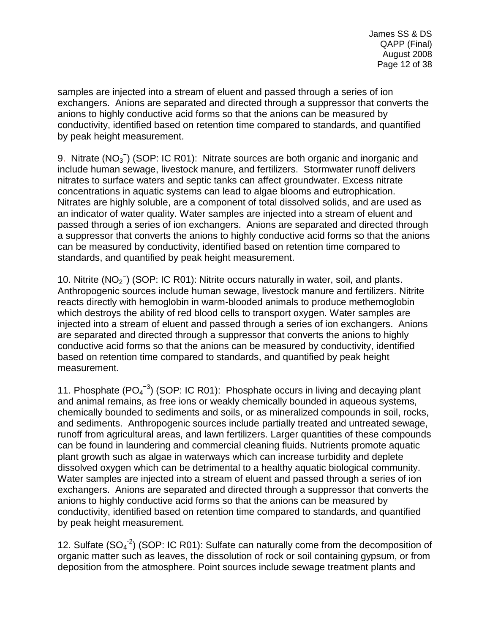samples are injected into a stream of eluent and passed through a series of ion exchangers. Anions are separated and directed through a suppressor that converts the anions to highly conductive acid forms so that the anions can be measured by conductivity, identified based on retention time compared to standards, and quantified by peak height measurement.

9. Nitrate  $(NO<sub>3</sub><sup>-</sup>)$  (SOP: IC R01): Nitrate sources are both organic and inorganic and include human sewage, livestock manure, and fertilizers. Stormwater runoff delivers nitrates to surface waters and septic tanks can affect groundwater. Excess nitrate concentrations in aquatic systems can lead to algae blooms and eutrophication. Nitrates are highly soluble, are a component of total dissolved solids, and are used as an indicator of water quality. Water samples are injected into a stream of eluent and passed through a series of ion exchangers. Anions are separated and directed through a suppressor that converts the anions to highly conductive acid forms so that the anions can be measured by conductivity, identified based on retention time compared to standards, and quantified by peak height measurement.

10. Nitrite (NO<sub>2</sub><sup>-</sup>) (SOP: IC R01): Nitrite occurs naturally in water, soil, and plants. Anthropogenic sources include human sewage, livestock manure and fertilizers. Nitrite reacts directly with hemoglobin in warm-blooded animals to produce methemoglobin which destroys the ability of red blood cells to transport oxygen. Water samples are injected into a stream of eluent and passed through a series of ion exchangers. Anions are separated and directed through a suppressor that converts the anions to highly conductive acid forms so that the anions can be measured by conductivity, identified based on retention time compared to standards, and quantified by peak height measurement.

11. Phosphate  $(PO<sub>4</sub><sup>-3</sup>)$  (SOP: IC R01): Phosphate occurs in living and decaying plant and animal remains, as free ions or weakly chemically bounded in aqueous systems, chemically bounded to sediments and soils, or as mineralized compounds in soil, rocks, and sediments. Anthropogenic sources include partially treated and untreated sewage, runoff from agricultural areas, and lawn fertilizers. Larger quantities of these compounds can be found in laundering and commercial cleaning fluids. Nutrients promote aquatic plant growth such as algae in waterways which can increase turbidity and deplete dissolved oxygen which can be detrimental to a healthy aquatic biological community. Water samples are injected into a stream of eluent and passed through a series of ion exchangers. Anions are separated and directed through a suppressor that converts the anions to highly conductive acid forms so that the anions can be measured by conductivity, identified based on retention time compared to standards, and quantified by peak height measurement.

12. Sulfate  $(SO<sub>4</sub><sup>-2</sup>)$  (SOP: IC R01): Sulfate can naturally come from the decomposition of organic matter such as leaves, the dissolution of rock or soil containing gypsum, or from deposition from the atmosphere. Point sources include sewage treatment plants and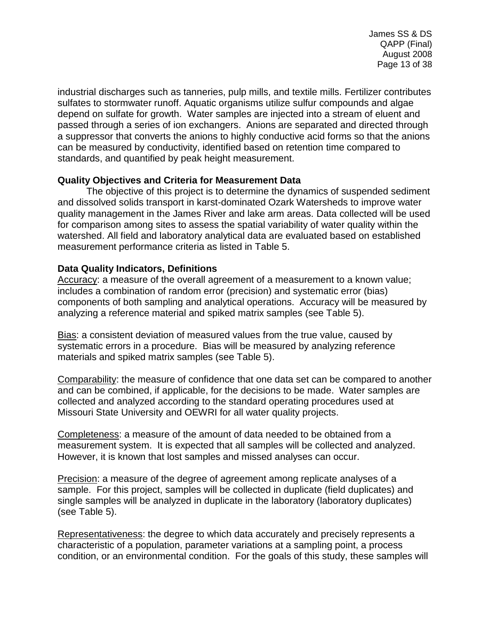James SS & DS QAPP (Final) August 2008 Page 13 of 38

industrial discharges such as tanneries, pulp mills, and textile mills. Fertilizer contributes sulfates to stormwater runoff. Aquatic organisms utilize sulfur compounds and algae depend on sulfate for growth. Water samples are injected into a stream of eluent and passed through a series of ion exchangers. Anions are separated and directed through a suppressor that converts the anions to highly conductive acid forms so that the anions can be measured by conductivity, identified based on retention time compared to standards, and quantified by peak height measurement.

# <span id="page-12-0"></span>**Quality Objectives and Criteria for Measurement Data**

The objective of this project is to determine the dynamics of suspended sediment and dissolved solids transport in karst-dominated Ozark Watersheds to improve water quality management in the James River and lake arm areas. Data collected will be used for comparison among sites to assess the spatial variability of water quality within the watershed. All field and laboratory analytical data are evaluated based on established measurement performance criteria as listed in Table 5.

# <span id="page-12-1"></span>**Data Quality Indicators, Definitions**

Accuracy: a measure of the overall agreement of a measurement to a known value; includes a combination of random error (precision) and systematic error (bias) components of both sampling and analytical operations. Accuracy will be measured by analyzing a reference material and spiked matrix samples (see Table 5).

Bias: a consistent deviation of measured values from the true value, caused by systematic errors in a procedure. Bias will be measured by analyzing reference materials and spiked matrix samples (see Table 5).

Comparability: the measure of confidence that one data set can be compared to another and can be combined, if applicable, for the decisions to be made. Water samples are collected and analyzed according to the standard operating procedures used at Missouri State University and OEWRI for all water quality projects.

Completeness: a measure of the amount of data needed to be obtained from a measurement system. It is expected that all samples will be collected and analyzed. However, it is known that lost samples and missed analyses can occur.

Precision: a measure of the degree of agreement among replicate analyses of a sample. For this project, samples will be collected in duplicate (field duplicates) and single samples will be analyzed in duplicate in the laboratory (laboratory duplicates) (see Table 5).

Representativeness: the degree to which data accurately and precisely represents a characteristic of a population, parameter variations at a sampling point, a process condition, or an environmental condition. For the goals of this study, these samples will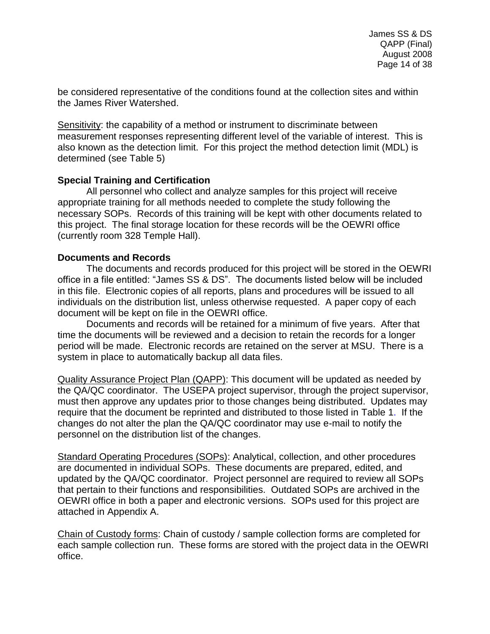be considered representative of the conditions found at the collection sites and within the James River Watershed.

Sensitivity: the capability of a method or instrument to discriminate between measurement responses representing different level of the variable of interest. This is also known as the detection limit. For this project the method detection limit (MDL) is determined (see Table 5)

### <span id="page-13-0"></span>**Special Training and Certification**

All personnel who collect and analyze samples for this project will receive appropriate training for all methods needed to complete the study following the necessary SOPs. Records of this training will be kept with other documents related to this project. The final storage location for these records will be the OEWRI office (currently room 328 Temple Hall).

### <span id="page-13-1"></span>**Documents and Records**

The documents and records produced for this project will be stored in the OEWRI office in a file entitled: "James SS & DS". The documents listed below will be included in this file. Electronic copies of all reports, plans and procedures will be issued to all individuals on the distribution list, unless otherwise requested. A paper copy of each document will be kept on file in the OEWRI office.

Documents and records will be retained for a minimum of five years. After that time the documents will be reviewed and a decision to retain the records for a longer period will be made. Electronic records are retained on the server at MSU. There is a system in place to automatically backup all data files.

Quality Assurance Project Plan (QAPP): This document will be updated as needed by the QA/QC coordinator. The USEPA project supervisor, through the project supervisor, must then approve any updates prior to those changes being distributed. Updates may require that the document be reprinted and distributed to those listed in Table 1. If the changes do not alter the plan the QA/QC coordinator may use e-mail to notify the personnel on the distribution list of the changes.

Standard Operating Procedures (SOPs): Analytical, collection, and other procedures are documented in individual SOPs. These documents are prepared, edited, and updated by the QA/QC coordinator. Project personnel are required to review all SOPs that pertain to their functions and responsibilities. Outdated SOPs are archived in the OEWRI office in both a paper and electronic versions. SOPs used for this project are attached in Appendix A.

Chain of Custody forms: Chain of custody / sample collection forms are completed for each sample collection run. These forms are stored with the project data in the OEWRI office.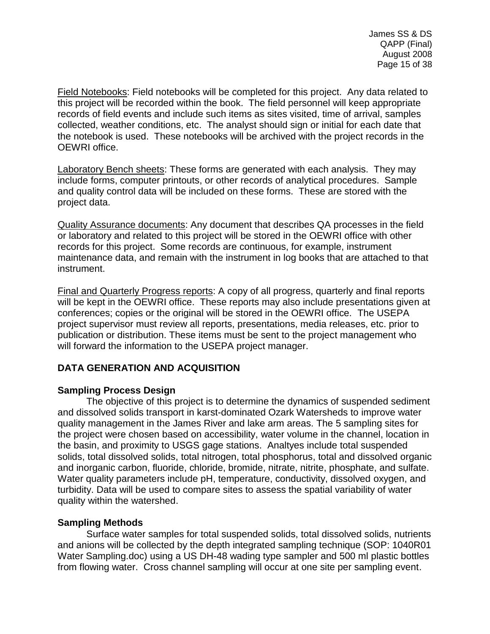Field Notebooks: Field notebooks will be completed for this project. Any data related to this project will be recorded within the book. The field personnel will keep appropriate records of field events and include such items as sites visited, time of arrival, samples collected, weather conditions, etc. The analyst should sign or initial for each date that the notebook is used. These notebooks will be archived with the project records in the OEWRI office.

Laboratory Bench sheets: These forms are generated with each analysis. They may include forms, computer printouts, or other records of analytical procedures. Sample and quality control data will be included on these forms. These are stored with the project data.

Quality Assurance documents: Any document that describes QA processes in the field or laboratory and related to this project will be stored in the OEWRI office with other records for this project. Some records are continuous, for example, instrument maintenance data, and remain with the instrument in log books that are attached to that instrument.

Final and Quarterly Progress reports: A copy of all progress, quarterly and final reports will be kept in the OEWRI office. These reports may also include presentations given at conferences; copies or the original will be stored in the OEWRI office. The USEPA project supervisor must review all reports, presentations, media releases, etc. prior to publication or distribution. These items must be sent to the project management who will forward the information to the USEPA project manager.

# <span id="page-14-0"></span>**DATA GENERATION AND ACQUISITION**

# <span id="page-14-1"></span>**Sampling Process Design**

The objective of this project is to determine the dynamics of suspended sediment and dissolved solids transport in karst-dominated Ozark Watersheds to improve water quality management in the James River and lake arm areas. The 5 sampling sites for the project were chosen based on accessibility, water volume in the channel, location in the basin, and proximity to USGS gage stations. Analtyes include total suspended solids, total dissolved solids, total nitrogen, total phosphorus, total and dissolved organic and inorganic carbon, fluoride, chloride, bromide, nitrate, nitrite, phosphate, and sulfate. Water quality parameters include pH, temperature, conductivity, dissolved oxygen, and turbidity. Data will be used to compare sites to assess the spatial variability of water quality within the watershed.

# <span id="page-14-2"></span>**Sampling Methods**

Surface water samples for total suspended solids, total dissolved solids, nutrients and anions will be collected by the depth integrated sampling technique (SOP: 1040R01 Water Sampling.doc) using a US DH-48 wading type sampler and 500 ml plastic bottles from flowing water. Cross channel sampling will occur at one site per sampling event.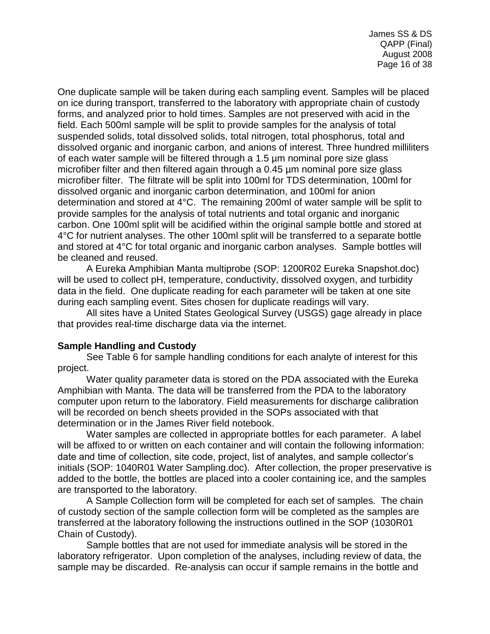One duplicate sample will be taken during each sampling event. Samples will be placed on ice during transport, transferred to the laboratory with appropriate chain of custody forms, and analyzed prior to hold times. Samples are not preserved with acid in the field. Each 500ml sample will be split to provide samples for the analysis of total suspended solids, total dissolved solids, total nitrogen, total phosphorus, total and dissolved organic and inorganic carbon, and anions of interest. Three hundred milliliters of each water sample will be filtered through a 1.5 µm nominal pore size glass microfiber filter and then filtered again through a 0.45 µm nominal pore size glass microfiber filter. The filtrate will be split into 100ml for TDS determination, 100ml for dissolved organic and inorganic carbon determination, and 100ml for anion determination and stored at 4°C. The remaining 200ml of water sample will be split to provide samples for the analysis of total nutrients and total organic and inorganic carbon. One 100ml split will be acidified within the original sample bottle and stored at 4°C for nutrient analyses. The other 100ml split will be transferred to a separate bottle and stored at 4°C for total organic and inorganic carbon analyses. Sample bottles will be cleaned and reused.

A Eureka Amphibian Manta multiprobe (SOP: 1200R02 Eureka Snapshot.doc) will be used to collect pH, temperature, conductivity, dissolved oxygen, and turbidity data in the field. One duplicate reading for each parameter will be taken at one site during each sampling event. Sites chosen for duplicate readings will vary.

All sites have a United States Geological Survey (USGS) gage already in place that provides real-time discharge data via the internet.

# <span id="page-15-0"></span>**Sample Handling and Custody**

See Table 6 for sample handling conditions for each analyte of interest for this project.

Water quality parameter data is stored on the PDA associated with the Eureka Amphibian with Manta. The data will be transferred from the PDA to the laboratory computer upon return to the laboratory. Field measurements for discharge calibration will be recorded on bench sheets provided in the SOPs associated with that determination or in the James River field notebook.

Water samples are collected in appropriate bottles for each parameter. A label will be affixed to or written on each container and will contain the following information: date and time of collection, site code, project, list of analytes, and sample collector's initials (SOP: 1040R01 Water Sampling.doc). After collection, the proper preservative is added to the bottle, the bottles are placed into a cooler containing ice, and the samples are transported to the laboratory.

A Sample Collection form will be completed for each set of samples. The chain of custody section of the sample collection form will be completed as the samples are transferred at the laboratory following the instructions outlined in the SOP (1030R01 Chain of Custody).

Sample bottles that are not used for immediate analysis will be stored in the laboratory refrigerator. Upon completion of the analyses, including review of data, the sample may be discarded. Re-analysis can occur if sample remains in the bottle and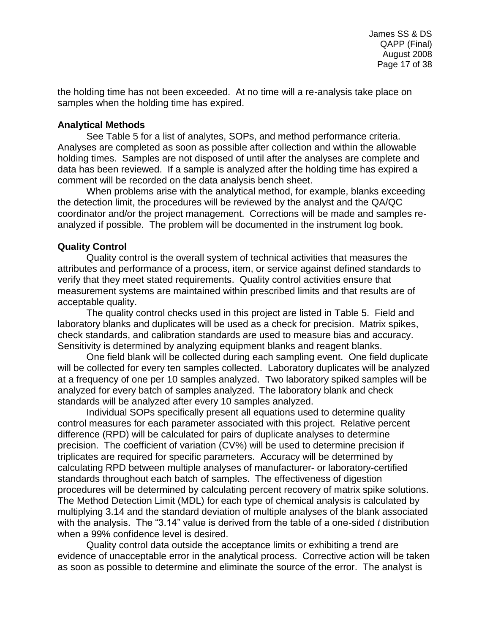the holding time has not been exceeded. At no time will a re-analysis take place on samples when the holding time has expired.

### <span id="page-16-0"></span>**Analytical Methods**

See Table 5 for a list of analytes, SOPs, and method performance criteria. Analyses are completed as soon as possible after collection and within the allowable holding times. Samples are not disposed of until after the analyses are complete and data has been reviewed. If a sample is analyzed after the holding time has expired a comment will be recorded on the data analysis bench sheet.

When problems arise with the analytical method, for example, blanks exceeding the detection limit, the procedures will be reviewed by the analyst and the QA/QC coordinator and/or the project management. Corrections will be made and samples reanalyzed if possible. The problem will be documented in the instrument log book.

# <span id="page-16-1"></span>**Quality Control**

Quality control is the overall system of technical activities that measures the attributes and performance of a process, item, or service against defined standards to verify that they meet stated requirements. Quality control activities ensure that measurement systems are maintained within prescribed limits and that results are of acceptable quality.

The quality control checks used in this project are listed in Table 5. Field and laboratory blanks and duplicates will be used as a check for precision. Matrix spikes, check standards, and calibration standards are used to measure bias and accuracy. Sensitivity is determined by analyzing equipment blanks and reagent blanks.

One field blank will be collected during each sampling event. One field duplicate will be collected for every ten samples collected. Laboratory duplicates will be analyzed at a frequency of one per 10 samples analyzed. Two laboratory spiked samples will be analyzed for every batch of samples analyzed. The laboratory blank and check standards will be analyzed after every 10 samples analyzed.

Individual SOPs specifically present all equations used to determine quality control measures for each parameter associated with this project. Relative percent difference (RPD) will be calculated for pairs of duplicate analyses to determine precision. The coefficient of variation (CV%) will be used to determine precision if triplicates are required for specific parameters. Accuracy will be determined by calculating RPD between multiple analyses of manufacturer- or laboratory-certified standards throughout each batch of samples. The effectiveness of digestion procedures will be determined by calculating percent recovery of matrix spike solutions. The Method Detection Limit (MDL) for each type of chemical analysis is calculated by multiplying 3.14 and the standard deviation of multiple analyses of the blank associated with the analysis. The "3.14" value is derived from the table of a one-sided *t* distribution when a 99% confidence level is desired.

Quality control data outside the acceptance limits or exhibiting a trend are evidence of unacceptable error in the analytical process. Corrective action will be taken as soon as possible to determine and eliminate the source of the error. The analyst is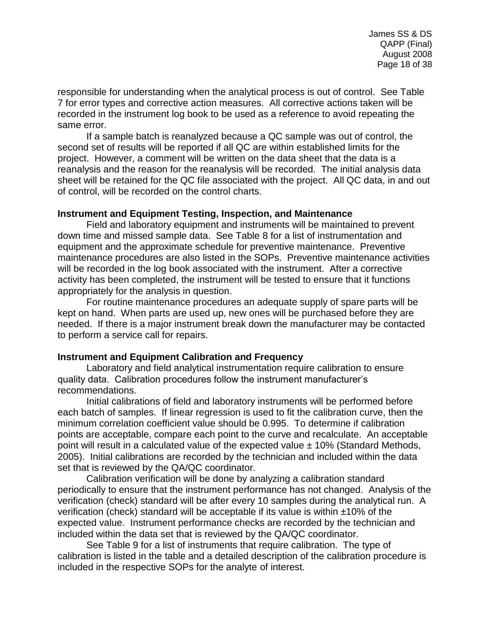responsible for understanding when the analytical process is out of control. See Table 7 for error types and corrective action measures. All corrective actions taken will be recorded in the instrument log book to be used as a reference to avoid repeating the same error.

If a sample batch is reanalyzed because a QC sample was out of control, the second set of results will be reported if all QC are within established limits for the project. However, a comment will be written on the data sheet that the data is a reanalysis and the reason for the reanalysis will be recorded. The initial analysis data sheet will be retained for the QC file associated with the project. All QC data, in and out of control, will be recorded on the control charts.

#### <span id="page-17-0"></span>**Instrument and Equipment Testing, Inspection, and Maintenance**

Field and laboratory equipment and instruments will be maintained to prevent down time and missed sample data. See Table 8 for a list of instrumentation and equipment and the approximate schedule for preventive maintenance. Preventive maintenance procedures are also listed in the SOPs. Preventive maintenance activities will be recorded in the log book associated with the instrument. After a corrective activity has been completed, the instrument will be tested to ensure that it functions appropriately for the analysis in question.

For routine maintenance procedures an adequate supply of spare parts will be kept on hand. When parts are used up, new ones will be purchased before they are needed. If there is a major instrument break down the manufacturer may be contacted to perform a service call for repairs.

#### <span id="page-17-1"></span>**Instrument and Equipment Calibration and Frequency**

Laboratory and field analytical instrumentation require calibration to ensure quality data. Calibration procedures follow the instrument manufacturer's recommendations.

Initial calibrations of field and laboratory instruments will be performed before each batch of samples. If linear regression is used to fit the calibration curve, then the minimum correlation coefficient value should be 0.995. To determine if calibration points are acceptable, compare each point to the curve and recalculate. An acceptable point will result in a calculated value of the expected value  $\pm$  10% (Standard Methods, 2005). Initial calibrations are recorded by the technician and included within the data set that is reviewed by the QA/QC coordinator.

Calibration verification will be done by analyzing a calibration standard periodically to ensure that the instrument performance has not changed. Analysis of the verification (check) standard will be after every 10 samples during the analytical run. A verification (check) standard will be acceptable if its value is within ±10% of the expected value. Instrument performance checks are recorded by the technician and included within the data set that is reviewed by the QA/QC coordinator.

See Table 9 for a list of instruments that require calibration. The type of calibration is listed in the table and a detailed description of the calibration procedure is included in the respective SOPs for the analyte of interest.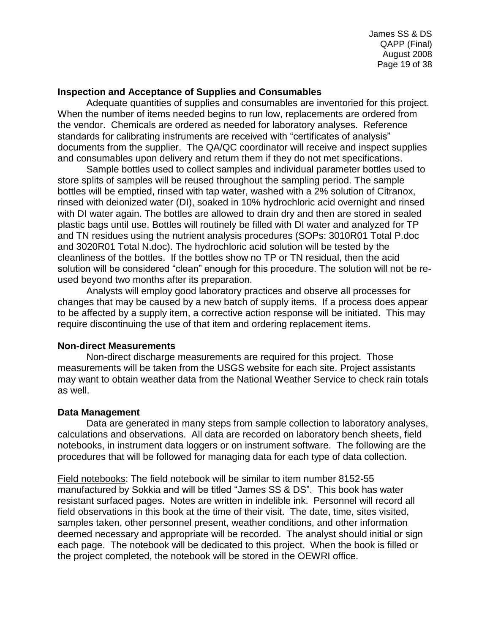### <span id="page-18-0"></span>**Inspection and Acceptance of Supplies and Consumables**

Adequate quantities of supplies and consumables are inventoried for this project. When the number of items needed begins to run low, replacements are ordered from the vendor. Chemicals are ordered as needed for laboratory analyses. Reference standards for calibrating instruments are received with "certificates of analysis" documents from the supplier. The QA/QC coordinator will receive and inspect supplies and consumables upon delivery and return them if they do not met specifications.

Sample bottles used to collect samples and individual parameter bottles used to store splits of samples will be reused throughout the sampling period. The sample bottles will be emptied, rinsed with tap water, washed with a 2% solution of Citranox, rinsed with deionized water (DI), soaked in 10% hydrochloric acid overnight and rinsed with DI water again. The bottles are allowed to drain dry and then are stored in sealed plastic bags until use. Bottles will routinely be filled with DI water and analyzed for TP and TN residues using the nutrient analysis procedures (SOPs: 3010R01 Total P.doc and 3020R01 Total N.doc). The hydrochloric acid solution will be tested by the cleanliness of the bottles. If the bottles show no TP or TN residual, then the acid solution will be considered "clean" enough for this procedure. The solution will not be reused beyond two months after its preparation.

Analysts will employ good laboratory practices and observe all processes for changes that may be caused by a new batch of supply items. If a process does appear to be affected by a supply item, a corrective action response will be initiated. This may require discontinuing the use of that item and ordering replacement items.

#### <span id="page-18-1"></span>**Non-direct Measurements**

Non-direct discharge measurements are required for this project. Those measurements will be taken from the USGS website for each site. Project assistants may want to obtain weather data from the National Weather Service to check rain totals as well.

# <span id="page-18-2"></span>**Data Management**

Data are generated in many steps from sample collection to laboratory analyses, calculations and observations. All data are recorded on laboratory bench sheets, field notebooks, in instrument data loggers or on instrument software. The following are the procedures that will be followed for managing data for each type of data collection.

Field notebooks: The field notebook will be similar to item number 8152-55 manufactured by Sokkia and will be titled "James SS & DS". This book has water resistant surfaced pages. Notes are written in indelible ink. Personnel will record all field observations in this book at the time of their visit. The date, time, sites visited, samples taken, other personnel present, weather conditions, and other information deemed necessary and appropriate will be recorded. The analyst should initial or sign each page. The notebook will be dedicated to this project. When the book is filled or the project completed, the notebook will be stored in the OEWRI office.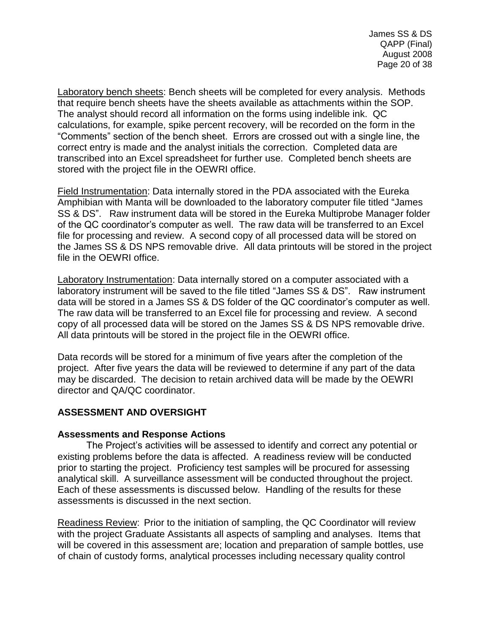Laboratory bench sheets: Bench sheets will be completed for every analysis. Methods that require bench sheets have the sheets available as attachments within the SOP. The analyst should record all information on the forms using indelible ink. QC calculations, for example, spike percent recovery, will be recorded on the form in the "Comments" section of the bench sheet. Errors are crossed out with a single line, the correct entry is made and the analyst initials the correction. Completed data are transcribed into an Excel spreadsheet for further use. Completed bench sheets are stored with the project file in the OEWRI office.

Field Instrumentation: Data internally stored in the PDA associated with the Eureka Amphibian with Manta will be downloaded to the laboratory computer file titled "James SS & DS". Raw instrument data will be stored in the Eureka Multiprobe Manager folder of the QC coordinator's computer as well. The raw data will be transferred to an Excel file for processing and review. A second copy of all processed data will be stored on the James SS & DS NPS removable drive. All data printouts will be stored in the project file in the OEWRI office.

Laboratory Instrumentation: Data internally stored on a computer associated with a laboratory instrument will be saved to the file titled "James SS & DS". Raw instrument data will be stored in a James SS & DS folder of the QC coordinator's computer as well. The raw data will be transferred to an Excel file for processing and review. A second copy of all processed data will be stored on the James SS & DS NPS removable drive. All data printouts will be stored in the project file in the OEWRI office.

Data records will be stored for a minimum of five years after the completion of the project. After five years the data will be reviewed to determine if any part of the data may be discarded. The decision to retain archived data will be made by the OEWRI director and QA/QC coordinator.

# <span id="page-19-0"></span>**ASSESSMENT AND OVERSIGHT**

# <span id="page-19-1"></span>**Assessments and Response Actions**

The Project's activities will be assessed to identify and correct any potential or existing problems before the data is affected. A readiness review will be conducted prior to starting the project. Proficiency test samples will be procured for assessing analytical skill. A surveillance assessment will be conducted throughout the project. Each of these assessments is discussed below. Handling of the results for these assessments is discussed in the next section.

Readiness Review: Prior to the initiation of sampling, the QC Coordinator will review with the project Graduate Assistants all aspects of sampling and analyses. Items that will be covered in this assessment are; location and preparation of sample bottles, use of chain of custody forms, analytical processes including necessary quality control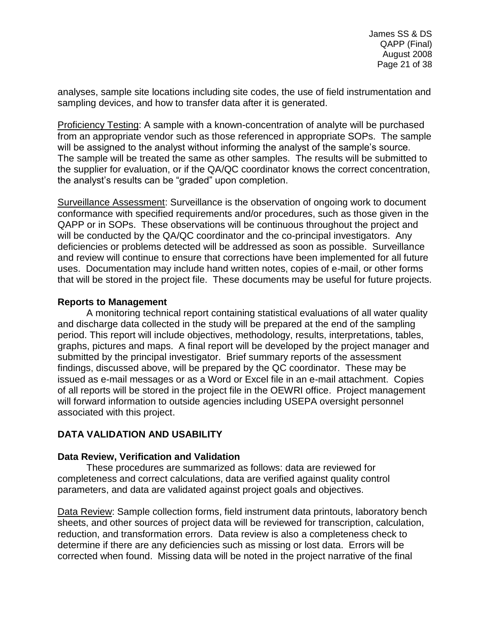analyses, sample site locations including site codes, the use of field instrumentation and sampling devices, and how to transfer data after it is generated.

Proficiency Testing: A sample with a known-concentration of analyte will be purchased from an appropriate vendor such as those referenced in appropriate SOPs. The sample will be assigned to the analyst without informing the analyst of the sample's source. The sample will be treated the same as other samples. The results will be submitted to the supplier for evaluation, or if the QA/QC coordinator knows the correct concentration, the analyst's results can be "graded" upon completion.

Surveillance Assessment: Surveillance is the observation of ongoing work to document conformance with specified requirements and/or procedures, such as those given in the QAPP or in SOPs. These observations will be continuous throughout the project and will be conducted by the QA/QC coordinator and the co-principal investigators. Any deficiencies or problems detected will be addressed as soon as possible. Surveillance and review will continue to ensure that corrections have been implemented for all future uses. Documentation may include hand written notes, copies of e-mail, or other forms that will be stored in the project file. These documents may be useful for future projects.

# <span id="page-20-0"></span>**Reports to Management**

A monitoring technical report containing statistical evaluations of all water quality and discharge data collected in the study will be prepared at the end of the sampling period. This report will include objectives, methodology, results, interpretations, tables, graphs, pictures and maps. A final report will be developed by the project manager and submitted by the principal investigator. Brief summary reports of the assessment findings, discussed above, will be prepared by the QC coordinator. These may be issued as e-mail messages or as a Word or Excel file in an e-mail attachment. Copies of all reports will be stored in the project file in the OEWRI office. Project management will forward information to outside agencies including USEPA oversight personnel associated with this project.

# <span id="page-20-1"></span>**DATA VALIDATION AND USABILITY**

# <span id="page-20-2"></span>**Data Review, Verification and Validation**

These procedures are summarized as follows: data are reviewed for completeness and correct calculations, data are verified against quality control parameters, and data are validated against project goals and objectives.

Data Review: Sample collection forms, field instrument data printouts, laboratory bench sheets, and other sources of project data will be reviewed for transcription, calculation, reduction, and transformation errors. Data review is also a completeness check to determine if there are any deficiencies such as missing or lost data. Errors will be corrected when found. Missing data will be noted in the project narrative of the final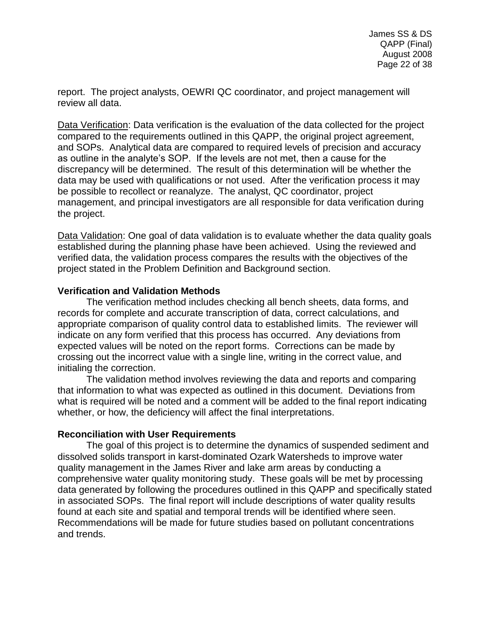report. The project analysts, OEWRI QC coordinator, and project management will review all data.

Data Verification: Data verification is the evaluation of the data collected for the project compared to the requirements outlined in this QAPP, the original project agreement, and SOPs. Analytical data are compared to required levels of precision and accuracy as outline in the analyte's SOP. If the levels are not met, then a cause for the discrepancy will be determined. The result of this determination will be whether the data may be used with qualifications or not used. After the verification process it may be possible to recollect or reanalyze. The analyst, QC coordinator, project management, and principal investigators are all responsible for data verification during the project.

Data Validation: One goal of data validation is to evaluate whether the data quality goals established during the planning phase have been achieved. Using the reviewed and verified data, the validation process compares the results with the objectives of the project stated in the Problem Definition and Background section.

#### <span id="page-21-0"></span>**Verification and Validation Methods**

The verification method includes checking all bench sheets, data forms, and records for complete and accurate transcription of data, correct calculations, and appropriate comparison of quality control data to established limits. The reviewer will indicate on any form verified that this process has occurred. Any deviations from expected values will be noted on the report forms. Corrections can be made by crossing out the incorrect value with a single line, writing in the correct value, and initialing the correction.

The validation method involves reviewing the data and reports and comparing that information to what was expected as outlined in this document. Deviations from what is required will be noted and a comment will be added to the final report indicating whether, or how, the deficiency will affect the final interpretations.

# <span id="page-21-1"></span>**Reconciliation with User Requirements**

The goal of this project is to determine the dynamics of suspended sediment and dissolved solids transport in karst-dominated Ozark Watersheds to improve water quality management in the James River and lake arm areas by conducting a comprehensive water quality monitoring study. These goals will be met by processing data generated by following the procedures outlined in this QAPP and specifically stated in associated SOPs. The final report will include descriptions of water quality results found at each site and spatial and temporal trends will be identified where seen. Recommendations will be made for future studies based on pollutant concentrations and trends.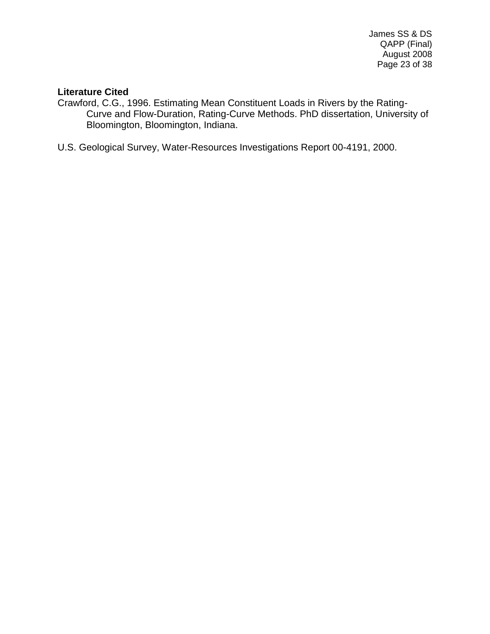### **Literature Cited**

Crawford, C.G., 1996. Estimating Mean Constituent Loads in Rivers by the Rating-Curve and Flow-Duration, Rating-Curve Methods. PhD dissertation, University of Bloomington, Bloomington, Indiana.

U.S. Geological Survey, Water-Resources Investigations Report 00-4191, 2000.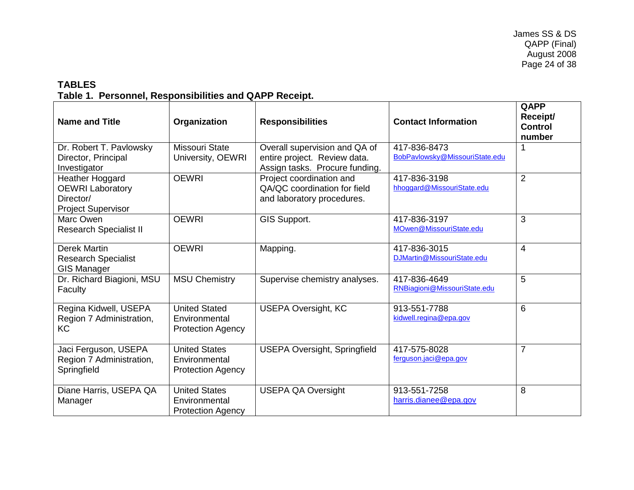# **TABLES Table 1. Personnel, Responsibilities and QAPP Receipt.**

<span id="page-23-1"></span><span id="page-23-0"></span>

| <b>Name and Title</b>                                                                | Organization                                                      | <b>Responsibilities</b>                                                                         | <b>Contact Information</b>                     | QAPP<br>Receipt/<br><b>Control</b><br>number |
|--------------------------------------------------------------------------------------|-------------------------------------------------------------------|-------------------------------------------------------------------------------------------------|------------------------------------------------|----------------------------------------------|
| Dr. Robert T. Pavlowsky<br>Director, Principal<br>Investigator                       | Missouri State<br>University, OEWRI                               | Overall supervision and QA of<br>entire project. Review data.<br>Assign tasks. Procure funding. | 417-836-8473<br>BobPavlowsky@MissouriState.edu |                                              |
| Heather Hoggard<br><b>OEWRI Laboratory</b><br>Director/<br><b>Project Supervisor</b> | <b>OEWRI</b>                                                      | Project coordination and<br>QA/QC coordination for field<br>and laboratory procedures.          | 417-836-3198<br>hhoggard@MissouriState.edu     | 2                                            |
| Marc Owen<br><b>Research Specialist II</b>                                           | <b>OEWRI</b>                                                      | GIS Support.                                                                                    | 417-836-3197<br>MOwen@MissouriState.edu        | 3                                            |
| <b>Derek Martin</b><br><b>Research Specialist</b><br><b>GIS Manager</b>              | <b>OEWRI</b>                                                      | Mapping.                                                                                        | 417-836-3015<br>DJMartin@MissouriState.edu     | $\overline{4}$                               |
| Dr. Richard Biagioni, MSU<br>Faculty                                                 | <b>MSU Chemistry</b>                                              | Supervise chemistry analyses.                                                                   | 417-836-4649<br>RNBiagioni@MissouriState.edu   | 5                                            |
| Regina Kidwell, USEPA<br>Region 7 Administration,<br>KC                              | <b>United Stated</b><br>Environmental<br><b>Protection Agency</b> | <b>USEPA Oversight, KC</b>                                                                      | 913-551-7788<br>kidwell.regina@epa.gov         | 6                                            |
| Jaci Ferguson, USEPA<br>Region 7 Administration,<br>Springfield                      | <b>United States</b><br>Environmental<br><b>Protection Agency</b> | <b>USEPA Oversight, Springfield</b>                                                             | 417-575-8028<br>ferguson.jaci@epa.gov          | $\overline{7}$                               |
| Diane Harris, USEPA QA<br>Manager                                                    | <b>United States</b><br>Environmental<br><b>Protection Agency</b> | <b>USEPA QA Oversight</b>                                                                       | 913-551-7258<br>harris.dianee@epa.gov          | 8                                            |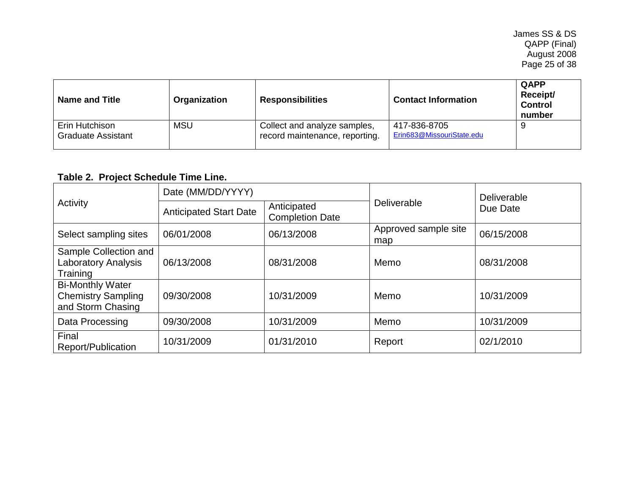| <b>Name and Title</b>                       | Organization | <b>Responsibilities</b>                                        | <b>Contact Information</b>                | QAPP<br>Receipt/<br><b>Control</b><br>number |
|---------------------------------------------|--------------|----------------------------------------------------------------|-------------------------------------------|----------------------------------------------|
| Erin Hutchison<br><b>Graduate Assistant</b> | <b>MSU</b>   | Collect and analyze samples,<br>record maintenance, reporting. | 417-836-8705<br>Erin683@MissouriState.edu | 9                                            |

# **Table 2. Project Schedule Time Line.**

<span id="page-24-0"></span>

| Activity                                                                  | Date (MM/DD/YYYY)             |                                       |                             | Deliverable<br>Due Date |  |
|---------------------------------------------------------------------------|-------------------------------|---------------------------------------|-----------------------------|-------------------------|--|
|                                                                           | <b>Anticipated Start Date</b> | Anticipated<br><b>Completion Date</b> | Deliverable                 |                         |  |
| Select sampling sites                                                     | 06/01/2008                    | 06/13/2008                            | Approved sample site<br>map | 06/15/2008              |  |
| Sample Collection and<br><b>Laboratory Analysis</b><br>Training           | 06/13/2008                    | 08/31/2008                            | Memo                        | 08/31/2008              |  |
| <b>Bi-Monthly Water</b><br><b>Chemistry Sampling</b><br>and Storm Chasing | 09/30/2008                    | 10/31/2009                            | Memo                        | 10/31/2009              |  |
| Data Processing                                                           | 09/30/2008                    | 10/31/2009                            | Memo                        | 10/31/2009              |  |
| Final<br>Report/Publication                                               | 10/31/2009                    | 01/31/2010                            | Report                      | 02/1/2010               |  |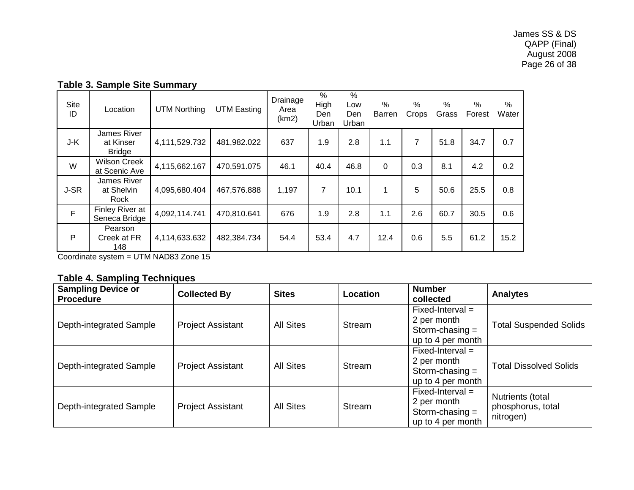| <b>Site</b><br>ID | Location                                  | <b>UTM Northing</b> | <b>UTM Easting</b> | Drainage<br>Area<br>(km2) | $\%$<br>High<br>Den<br>Urban | %<br>Low<br>Den<br>Urban | $\%$<br>Barren | $\%$<br>Crops | $\%$<br>Grass | $\%$<br>Forest | %<br>Water |
|-------------------|-------------------------------------------|---------------------|--------------------|---------------------------|------------------------------|--------------------------|----------------|---------------|---------------|----------------|------------|
| J-K               | James River<br>at Kinser<br><b>Bridge</b> | 4,111,529.732       | 481,982.022        | 637                       | 1.9                          | 2.8                      | 1.1            | 7             | 51.8          | 34.7           | 0.7        |
| W                 | <b>Wilson Creek</b><br>at Scenic Ave      | 4,115,662.167       | 470,591.075        | 46.1                      | 40.4                         | 46.8                     | $\Omega$       | 0.3           | 8.1           | 4.2            | 0.2        |
| J-SR              | James River<br>at Shelvin<br>Rock         | 4,095,680.404       | 467,576.888        | 1,197                     | $\overline{7}$               | 10.1                     | 1              | 5             | 50.6          | 25.5           | 0.8        |
| F                 | Finley River at<br>Seneca Bridge          | 4,092,114.741       | 470,810.641        | 676                       | 1.9                          | 2.8                      | 1.1            | 2.6           | 60.7          | 30.5           | 0.6        |
| P                 | Pearson<br>Creek at FR<br>148             | 4,114,633.632       | 482,384.734        | 54.4                      | 53.4                         | 4.7                      | 12.4           | 0.6           | 5.5           | 61.2           | 15.2       |

# **Table 3. Sample Site Summary**

<span id="page-25-0"></span>Coordinate system = UTM NAD83 Zone 15

# **Table 4. Sampling Techniques**

<span id="page-25-1"></span>

| <b>Sampling Device or</b><br><b>Procedure</b> | <b>Collected By</b>      | <b>Sites</b>     | Location | <b>Number</b><br>collected                                                  | <b>Analytes</b>                                    |
|-----------------------------------------------|--------------------------|------------------|----------|-----------------------------------------------------------------------------|----------------------------------------------------|
| Depth-integrated Sample                       | <b>Project Assistant</b> | <b>All Sites</b> | Stream   | $Fixed-Interval =$<br>2 per month<br>Storm-chasing $=$<br>up to 4 per month | <b>Total Suspended Solids</b>                      |
| Depth-integrated Sample                       | <b>Project Assistant</b> | <b>All Sites</b> | Stream   | $Fixed-Interval =$<br>2 per month<br>Storm-chasing $=$<br>up to 4 per month | <b>Total Dissolved Solids</b>                      |
| Depth-integrated Sample                       | <b>Project Assistant</b> | <b>All Sites</b> | Stream   | $Fixed-Interval =$<br>2 per month<br>Storm-chasing $=$<br>up to 4 per month | Nutrients (total<br>phosphorus, total<br>nitrogen) |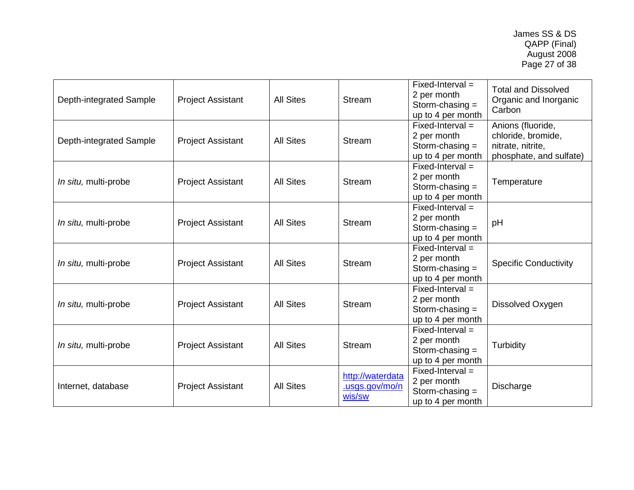| Depth-integrated Sample | <b>Project Assistant</b> | <b>All Sites</b> | <b>Stream</b>                                | $Fixed-Interval =$<br>2 per month<br>Storm-chasing $=$<br>up to 4 per month | <b>Total and Dissolved</b><br>Organic and Inorganic<br>Carbon                           |
|-------------------------|--------------------------|------------------|----------------------------------------------|-----------------------------------------------------------------------------|-----------------------------------------------------------------------------------------|
| Depth-integrated Sample | <b>Project Assistant</b> | <b>All Sites</b> | <b>Stream</b>                                | $Fixed-Interval =$<br>2 per month<br>Storm-chasing $=$<br>up to 4 per month | Anions (fluoride,<br>chloride, bromide,<br>nitrate, nitrite,<br>phosphate, and sulfate) |
| In situ, multi-probe    | <b>Project Assistant</b> | <b>All Sites</b> | Stream                                       | $Fixed-Interval =$<br>2 per month<br>Storm-chasing $=$<br>up to 4 per month | Temperature                                                                             |
| In situ, multi-probe    | <b>Project Assistant</b> | <b>All Sites</b> | <b>Stream</b>                                | $Fixed-Interval =$<br>2 per month<br>Storm-chasing $=$<br>up to 4 per month | pH                                                                                      |
| In situ, multi-probe    | <b>Project Assistant</b> | <b>All Sites</b> | <b>Stream</b>                                | $Fixed-Interval =$<br>2 per month<br>Storm-chasing $=$<br>up to 4 per month | <b>Specific Conductivity</b>                                                            |
| In situ, multi-probe    | <b>Project Assistant</b> | <b>All Sites</b> | <b>Stream</b>                                | $Fixed-Interval =$<br>2 per month<br>Storm-chasing $=$<br>up to 4 per month | Dissolved Oxygen                                                                        |
| In situ, multi-probe    | <b>Project Assistant</b> | <b>All Sites</b> | <b>Stream</b>                                | $Fixed-Interval =$<br>2 per month<br>Storm-chasing $=$<br>up to 4 per month | Turbidity                                                                               |
| Internet, database      | <b>Project Assistant</b> | <b>All Sites</b> | http://waterdata<br>.usgs.gov/mo/n<br>wis/sw | $Fixed-Interval =$<br>2 per month<br>Storm-chasing $=$<br>up to 4 per month | Discharge                                                                               |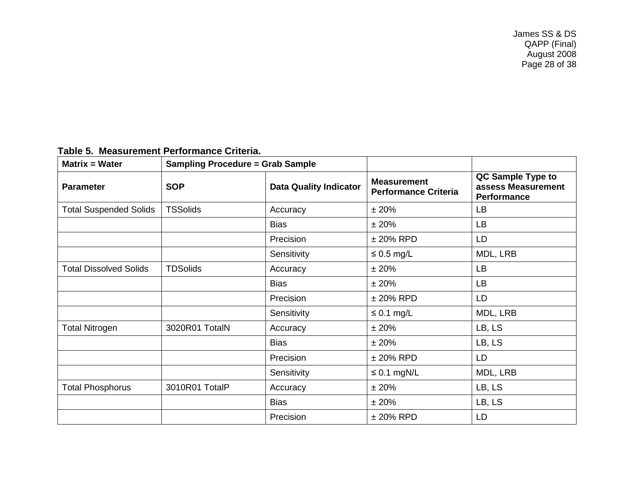James SS & DS QAPP (Final) August 2008 Page 28 of 38

<span id="page-27-0"></span>

| <b>Matrix = Water</b>         | <b>Sampling Procedure = Grab Sample</b>     |             |                                                   |                                                               |
|-------------------------------|---------------------------------------------|-------------|---------------------------------------------------|---------------------------------------------------------------|
| <b>Parameter</b>              | <b>SOP</b><br><b>Data Quality Indicator</b> |             | <b>Measurement</b><br><b>Performance Criteria</b> | QC Sample Type to<br>assess Measurement<br><b>Performance</b> |
| <b>Total Suspended Solids</b> | <b>TSSolids</b>                             | Accuracy    | ±20%                                              | LB                                                            |
|                               |                                             | <b>Bias</b> | ±20%                                              | LB                                                            |
|                               |                                             | Precision   | $± 20\%$ RPD                                      | LD                                                            |
|                               |                                             | Sensitivity | $\leq 0.5$ mg/L                                   | MDL, LRB                                                      |
| <b>Total Dissolved Solids</b> | <b>TDSolids</b>                             | Accuracy    | ±20%                                              | LB                                                            |
|                               |                                             | <b>Bias</b> | ±20%                                              | LB                                                            |
|                               |                                             | Precision   | $± 20\%$ RPD                                      | LD                                                            |
|                               |                                             | Sensitivity | $\leq$ 0.1 mg/L                                   | MDL, LRB                                                      |
| <b>Total Nitrogen</b>         | 3020R01 TotalN                              | Accuracy    | ±20%                                              | LB, LS                                                        |
|                               |                                             | <b>Bias</b> | ±20%                                              | LB, LS                                                        |
|                               |                                             | Precision   | $± 20\%$ RPD                                      | LD                                                            |
|                               |                                             | Sensitivity | $\leq 0.1$ mgN/L                                  | MDL, LRB                                                      |
| <b>Total Phosphorus</b>       | 3010R01 TotalP                              | Accuracy    | ±20%                                              | LB, LS                                                        |
|                               |                                             | <b>Bias</b> | ±20%                                              | LB, LS                                                        |
|                               |                                             | Precision   | $± 20\%$ RPD                                      | LD                                                            |

# **Table 5. Measurement Performance Criteria.**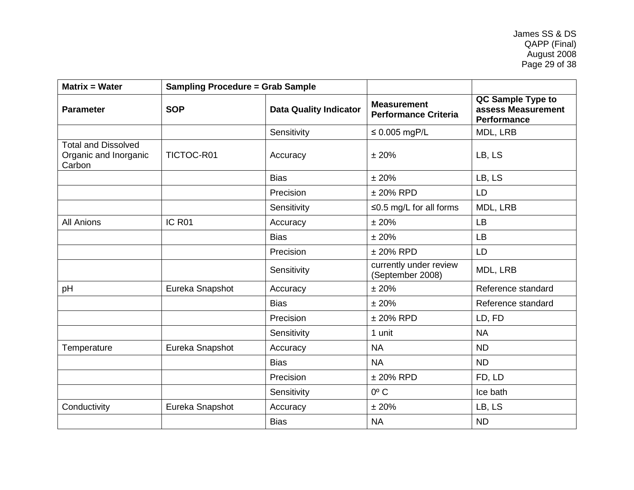| <b>SOP</b>      | <b>Data Quality Indicator</b> | <b>Measurement</b><br><b>Performance Criteria</b> | QC Sample Type to<br>assess Measurement<br><b>Performance</b> |
|-----------------|-------------------------------|---------------------------------------------------|---------------------------------------------------------------|
|                 | Sensitivity                   | $\leq 0.005$ mgP/L                                | MDL, LRB                                                      |
| TICTOC-R01      | Accuracy                      | ±20%                                              | LB, LS                                                        |
|                 | <b>Bias</b>                   | ±20%                                              | LB, LS                                                        |
|                 | Precision                     | $± 20\%$ RPD                                      | <b>LD</b>                                                     |
|                 | Sensitivity                   | $\leq$ 0.5 mg/L for all forms                     | MDL, LRB                                                      |
| IC R01          | Accuracy                      | ± 20%                                             | <b>LB</b>                                                     |
|                 | <b>Bias</b>                   | ±20%                                              | <b>LB</b>                                                     |
|                 | Precision                     | $± 20\%$ RPD                                      | LD                                                            |
|                 | Sensitivity                   | currently under review<br>(September 2008)        | MDL, LRB                                                      |
| Eureka Snapshot | Accuracy                      | ± 20%                                             | Reference standard                                            |
|                 | <b>Bias</b>                   | ± 20%                                             | Reference standard                                            |
|                 | Precision                     | $± 20\%$ RPD                                      | LD, FD                                                        |
|                 | Sensitivity                   | 1 unit                                            | <b>NA</b>                                                     |
| Eureka Snapshot | Accuracy                      | <b>NA</b>                                         | <b>ND</b>                                                     |
|                 | <b>Bias</b>                   | <b>NA</b>                                         | <b>ND</b>                                                     |
|                 | Precision                     | $± 20\%$ RPD                                      | FD, LD                                                        |
|                 | Sensitivity                   | $0^{\circ}$ C                                     | Ice bath                                                      |
| Eureka Snapshot | Accuracy                      | ±20%                                              | LB, LS                                                        |
|                 | <b>Bias</b>                   | <b>NA</b>                                         | <b>ND</b>                                                     |
|                 |                               | <b>Sampling Procedure = Grab Sample</b>           |                                                               |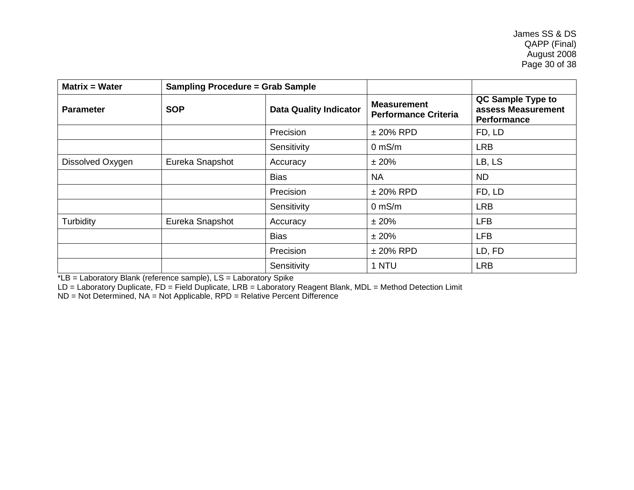| <b>Matrix = Water</b> | <b>Sampling Procedure = Grab Sample</b> |                               |                                                   |                                                               |
|-----------------------|-----------------------------------------|-------------------------------|---------------------------------------------------|---------------------------------------------------------------|
| <b>Parameter</b>      | <b>SOP</b>                              | <b>Data Quality Indicator</b> | <b>Measurement</b><br><b>Performance Criteria</b> | QC Sample Type to<br>assess Measurement<br><b>Performance</b> |
|                       |                                         | Precision                     | $±$ 20% RPD                                       | FD, LD                                                        |
|                       |                                         | Sensitivity                   | $0$ mS/m                                          | <b>LRB</b>                                                    |
| Dissolved Oxygen      | Eureka Snapshot                         | Accuracy                      | ±20%                                              | LB, LS                                                        |
|                       |                                         | <b>Bias</b>                   | <b>NA</b>                                         | <b>ND</b>                                                     |
|                       |                                         | Precision                     | $±$ 20% RPD                                       | FD, LD                                                        |
|                       |                                         | Sensitivity                   | $0$ mS/m                                          | <b>LRB</b>                                                    |
| Turbidity             | Eureka Snapshot                         | Accuracy                      | ±20%                                              | <b>LFB</b>                                                    |
|                       |                                         | <b>Bias</b>                   | ±20%                                              | <b>LFB</b>                                                    |
|                       |                                         | Precision                     | $±$ 20% RPD                                       | LD, FD                                                        |
|                       |                                         | Sensitivity                   | 1 NTU                                             | <b>LRB</b>                                                    |

\*LB = Laboratory Blank (reference sample), LS = Laboratory Spike

LD = Laboratory Duplicate, FD = Field Duplicate, LRB = Laboratory Reagent Blank, MDL = Method Detection Limit

ND = Not Determined, NA = Not Applicable, RPD = Relative Percent Difference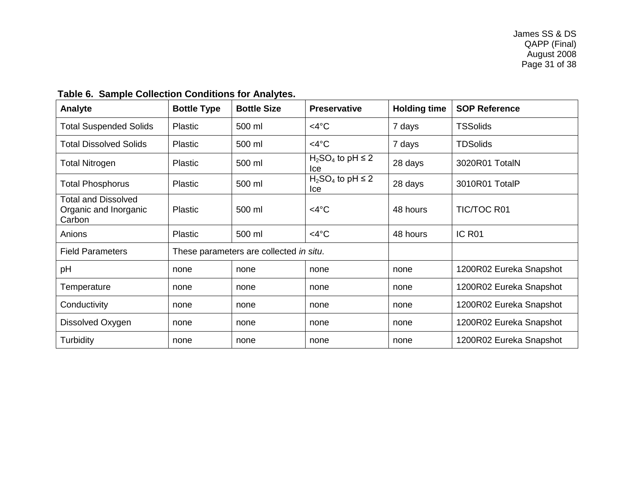<span id="page-30-0"></span>

| <b>Analyte</b>                                                | <b>Bottle Type</b> | <b>Bottle Size</b>                      | <b>Preservative</b>             | <b>Holding time</b> | <b>SOP Reference</b>    |
|---------------------------------------------------------------|--------------------|-----------------------------------------|---------------------------------|---------------------|-------------------------|
| <b>Total Suspended Solids</b>                                 | <b>Plastic</b>     | 500 ml                                  | $<$ 4°C                         | 7 days              | <b>TSSolids</b>         |
| <b>Total Dissolved Solids</b>                                 | <b>Plastic</b>     | 500 ml                                  | $<$ 4°C                         | 7 days              | <b>TDSolids</b>         |
| <b>Total Nitrogen</b>                                         | <b>Plastic</b>     | 500 ml                                  | $H_2SO_4$ to pH $\leq$ 2<br>Ice | 28 days             | 3020R01 TotalN          |
| <b>Total Phosphorus</b>                                       | <b>Plastic</b>     | 500 ml                                  | $H_2SO_4$ to pH $\leq$ 2<br>Ice | 28 days             | 3010R01 TotalP          |
| <b>Total and Dissolved</b><br>Organic and Inorganic<br>Carbon | Plastic            | 500 ml                                  | $<$ 4°C                         | 48 hours            | <b>TIC/TOC R01</b>      |
| Anions                                                        | Plastic            | 500 ml                                  | $<$ 4°C                         | 48 hours            | IC R <sub>01</sub>      |
| <b>Field Parameters</b>                                       |                    | These parameters are collected in situ. |                                 |                     |                         |
| pH                                                            | none               | none                                    | none                            | none                | 1200R02 Eureka Snapshot |
| Temperature                                                   | none               | none                                    | none                            | none                | 1200R02 Eureka Snapshot |
| Conductivity                                                  | none               | none                                    | none                            | none                | 1200R02 Eureka Snapshot |
| Dissolved Oxygen                                              | none               | none                                    | none                            | none                | 1200R02 Eureka Snapshot |
| Turbidity                                                     | none               | none                                    | none                            | none                | 1200R02 Eureka Snapshot |

# **Table 6. Sample Collection Conditions for Analytes.**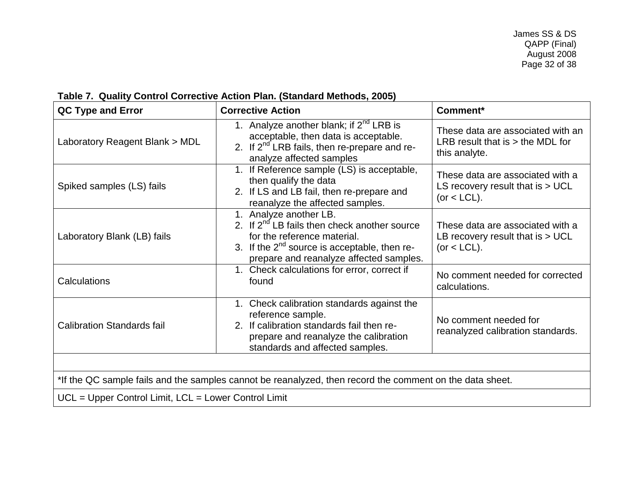# **Table 7. Quality Control Corrective Action Plan. (Standard Methods, 2005)**

<span id="page-31-0"></span>

| QC Type and Error                                                                                        | <b>Corrective Action</b>                                                                                                                                                                                   | Comment*                                                                                 |  |  |
|----------------------------------------------------------------------------------------------------------|------------------------------------------------------------------------------------------------------------------------------------------------------------------------------------------------------------|------------------------------------------------------------------------------------------|--|--|
| Laboratory Reagent Blank > MDL                                                                           | 1. Analyze another blank; if $2^{nd}$ LRB is<br>acceptable, then data is acceptable.<br>2. If $2^{nd}$ LRB fails, then re-prepare and re-<br>analyze affected samples                                      | These data are associated with an<br>LRB result that is $>$ the MDL for<br>this analyte. |  |  |
| Spiked samples (LS) fails                                                                                | 1. If Reference sample (LS) is acceptable,<br>then qualify the data<br>2. If LS and LB fail, then re-prepare and<br>reanalyze the affected samples.                                                        | These data are associated with a<br>LS recovery result that is $> UCL$<br>$(or < LCL)$ . |  |  |
| Laboratory Blank (LB) fails                                                                              | 1. Analyze another LB.<br>2. If $2^{nd}$ LB fails then check another source<br>for the reference material.<br>3. If the $2^{nd}$ source is acceptable, then re-<br>prepare and reanalyze affected samples. | These data are associated with a<br>LB recovery result that is $> UCL$<br>$(or < LCL)$ . |  |  |
| Calculations                                                                                             | 1. Check calculations for error, correct if<br>found                                                                                                                                                       | No comment needed for corrected<br>calculations.                                         |  |  |
| <b>Calibration Standards fail</b>                                                                        | 1. Check calibration standards against the<br>reference sample.<br>2. If calibration standards fail then re-<br>prepare and reanalyze the calibration<br>standards and affected samples.                   | No comment needed for<br>reanalyzed calibration standards.                               |  |  |
|                                                                                                          |                                                                                                                                                                                                            |                                                                                          |  |  |
| *If the QC sample fails and the samples cannot be reanalyzed, then record the comment on the data sheet. |                                                                                                                                                                                                            |                                                                                          |  |  |
| UCL = Upper Control Limit, LCL = Lower Control Limit                                                     |                                                                                                                                                                                                            |                                                                                          |  |  |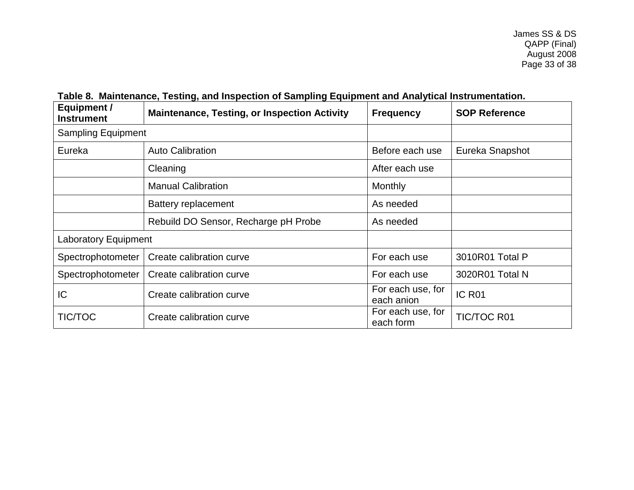<span id="page-32-0"></span>

| Equipment /<br><b>Instrument</b> | <b>Maintenance, Testing, or Inspection Activity</b> | <b>Frequency</b>                | <b>SOP Reference</b> |
|----------------------------------|-----------------------------------------------------|---------------------------------|----------------------|
| <b>Sampling Equipment</b>        |                                                     |                                 |                      |
| Eureka                           | <b>Auto Calibration</b>                             | Before each use                 | Eureka Snapshot      |
|                                  | Cleaning                                            | After each use                  |                      |
|                                  | <b>Manual Calibration</b>                           | Monthly                         |                      |
|                                  | Battery replacement                                 | As needed                       |                      |
|                                  | Rebuild DO Sensor, Recharge pH Probe                | As needed                       |                      |
| Laboratory Equipment             |                                                     |                                 |                      |
| Spectrophotometer                | Create calibration curve                            | For each use                    | 3010R01 Total P      |
| Spectrophotometer                | Create calibration curve                            | For each use                    | 3020R01 Total N      |
| IC                               | Create calibration curve                            | For each use, for<br>each anion | IC R <sub>01</sub>   |
| <b>TIC/TOC</b>                   | Create calibration curve                            | For each use, for<br>each form  | <b>TIC/TOC R01</b>   |

# **Table 8. Maintenance, Testing, and Inspection of Sampling Equipment and Analytical Instrumentation.**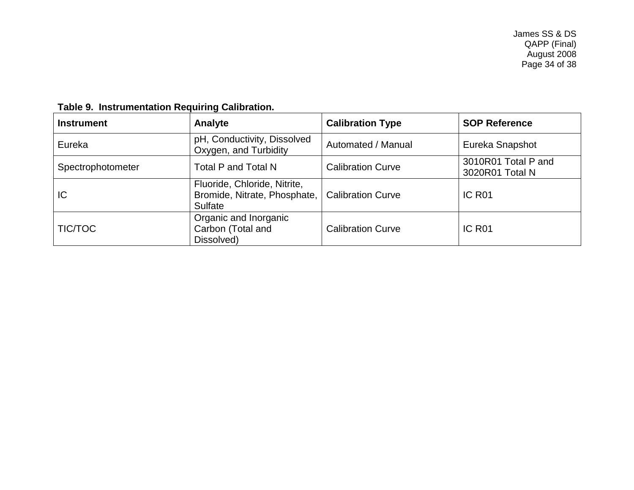<span id="page-33-0"></span>

| <b>Instrument</b> | Analyte                                                                 | <b>Calibration Type</b>  | <b>SOP Reference</b>                   |
|-------------------|-------------------------------------------------------------------------|--------------------------|----------------------------------------|
| Eureka            | pH, Conductivity, Dissolved<br>Oxygen, and Turbidity                    | Automated / Manual       | Eureka Snapshot                        |
| Spectrophotometer | Total P and Total N                                                     | <b>Calibration Curve</b> | 3010R01 Total P and<br>3020R01 Total N |
| IC                | Fluoride, Chloride, Nitrite,<br>Bromide, Nitrate, Phosphate,<br>Sulfate | <b>Calibration Curve</b> | IC R <sub>01</sub>                     |
| TIC/TOC           | Organic and Inorganic<br>Carbon (Total and<br>Dissolved)                | <b>Calibration Curve</b> | IC R <sub>01</sub>                     |

# **Table 9. Instrumentation Requiring Calibration.**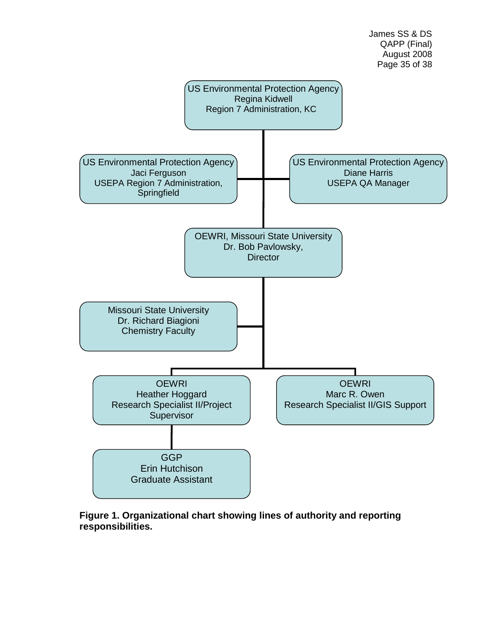

James SS & DS

<span id="page-34-1"></span><span id="page-34-0"></span>**Figure 1. Organizational chart showing lines of authority and reporting responsibilities.**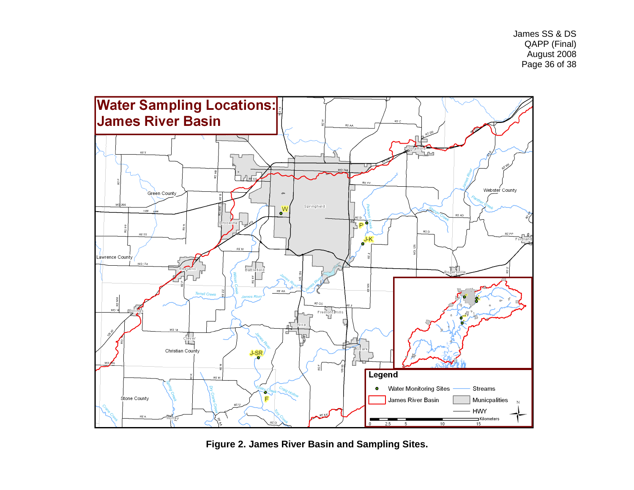James SS & DS QAPP (Final) August 2008 Page 36 of 38



**Figure 2. James River Basin and Sampling Sites.**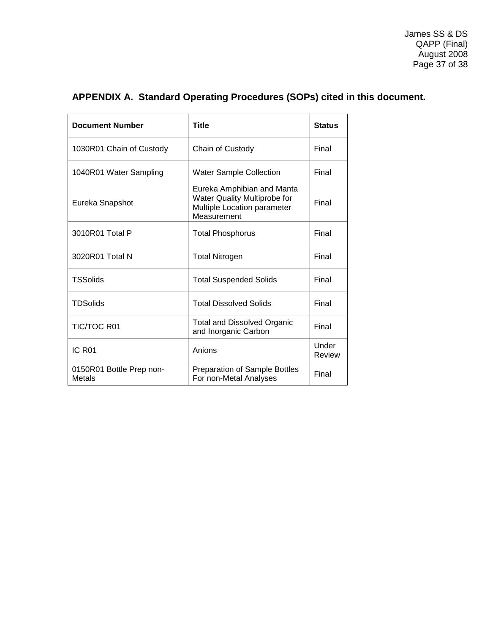James SS & DS QAPP (Final) August 2008 Page 37 of 38

# <span id="page-36-0"></span>**APPENDIX A. Standard Operating Procedures (SOPs) cited in this document.**

| <b>Document Number</b>             | Title                                                                                                    | <b>Status</b>   |
|------------------------------------|----------------------------------------------------------------------------------------------------------|-----------------|
| 1030R01 Chain of Custody           | Chain of Custody                                                                                         | Final           |
| 1040R01 Water Sampling             | <b>Water Sample Collection</b>                                                                           | Final           |
| Eureka Snapshot                    | Eureka Amphibian and Manta<br>Water Quality Multiprobe for<br>Multiple Location parameter<br>Measurement | Final           |
| 3010R01 Total P                    | <b>Total Phosphorus</b>                                                                                  | Final           |
| 3020R01 Total N                    | Total Nitrogen                                                                                           | Final           |
| <b>TSSolids</b>                    | <b>Total Suspended Solids</b>                                                                            | Final           |
| <b>TDSolids</b>                    | <b>Total Dissolved Solids</b>                                                                            | Final           |
| <b>TIC/TOC R01</b>                 | <b>Total and Dissolved Organic</b><br>and Inorganic Carbon                                               | Final           |
| IC R <sub>01</sub>                 | Anions                                                                                                   | Under<br>Review |
| 0150R01 Bottle Prep non-<br>Metals | <b>Preparation of Sample Bottles</b><br>For non-Metal Analyses                                           | Final           |